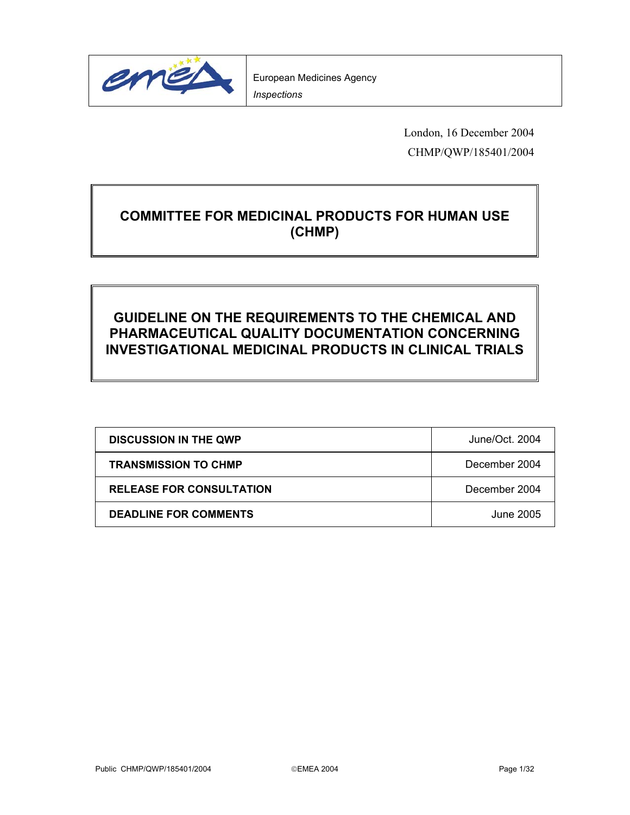

London, 16 December 2004 CHMP/QWP/185401/2004

# **COMMITTEE FOR MEDICINAL PRODUCTS FOR HUMAN USE (CHMP)**

# **GUIDELINE ON THE REQUIREMENTS TO THE CHEMICAL AND PHARMACEUTICAL QUALITY DOCUMENTATION CONCERNING INVESTIGATIONAL MEDICINAL PRODUCTS IN CLINICAL TRIALS**

| <b>DISCUSSION IN THE QWP</b>    | June/Oct. 2004 |
|---------------------------------|----------------|
| <b>TRANSMISSION TO CHMP</b>     | December 2004  |
| <b>RELEASE FOR CONSULTATION</b> | December 2004  |
| <b>DEADLINE FOR COMMENTS</b>    | June 2005      |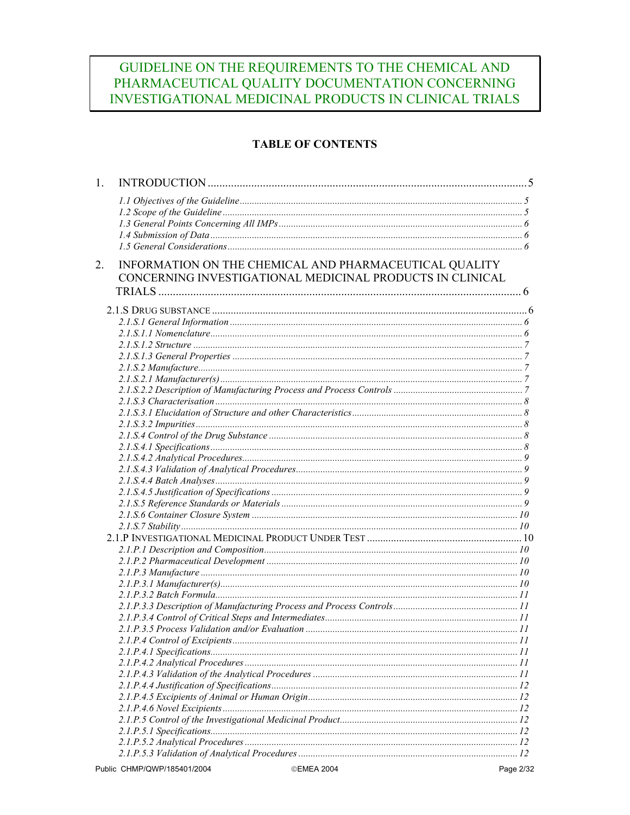# GUIDELINE ON THE REQUIREMENTS TO THE CHEMICAL AND PHARMACEUTICAL QUALITY DOCUMENTATION CONCERNING INVESTIGATIONAL MEDICINAL PRODUCTS IN CLINICAL TRIALS

## **TABLE OF CONTENTS**

| 1. |                                                           |            |  |
|----|-----------------------------------------------------------|------------|--|
|    |                                                           |            |  |
|    |                                                           |            |  |
|    |                                                           |            |  |
|    |                                                           |            |  |
|    |                                                           |            |  |
| 2. | INFORMATION ON THE CHEMICAL AND PHARMACEUTICAL QUALITY    |            |  |
|    | CONCERNING INVESTIGATIONAL MEDICINAL PRODUCTS IN CLINICAL |            |  |
|    |                                                           |            |  |
|    |                                                           |            |  |
|    |                                                           |            |  |
|    |                                                           |            |  |
|    |                                                           |            |  |
|    |                                                           |            |  |
|    |                                                           |            |  |
|    |                                                           |            |  |
|    |                                                           |            |  |
|    |                                                           |            |  |
|    |                                                           |            |  |
|    |                                                           |            |  |
|    |                                                           |            |  |
|    |                                                           |            |  |
|    |                                                           |            |  |
|    |                                                           |            |  |
|    |                                                           |            |  |
|    |                                                           |            |  |
|    |                                                           |            |  |
|    |                                                           |            |  |
|    |                                                           |            |  |
|    |                                                           |            |  |
|    |                                                           |            |  |
|    |                                                           |            |  |
|    |                                                           |            |  |
|    |                                                           |            |  |
|    |                                                           |            |  |
|    |                                                           |            |  |
|    |                                                           |            |  |
|    |                                                           |            |  |
|    |                                                           |            |  |
|    |                                                           | $\dots$ 11 |  |
|    |                                                           |            |  |
|    |                                                           |            |  |
|    |                                                           |            |  |
|    |                                                           |            |  |
|    |                                                           |            |  |
|    |                                                           |            |  |
|    |                                                           |            |  |
|    |                                                           |            |  |
|    |                                                           |            |  |
|    |                                                           |            |  |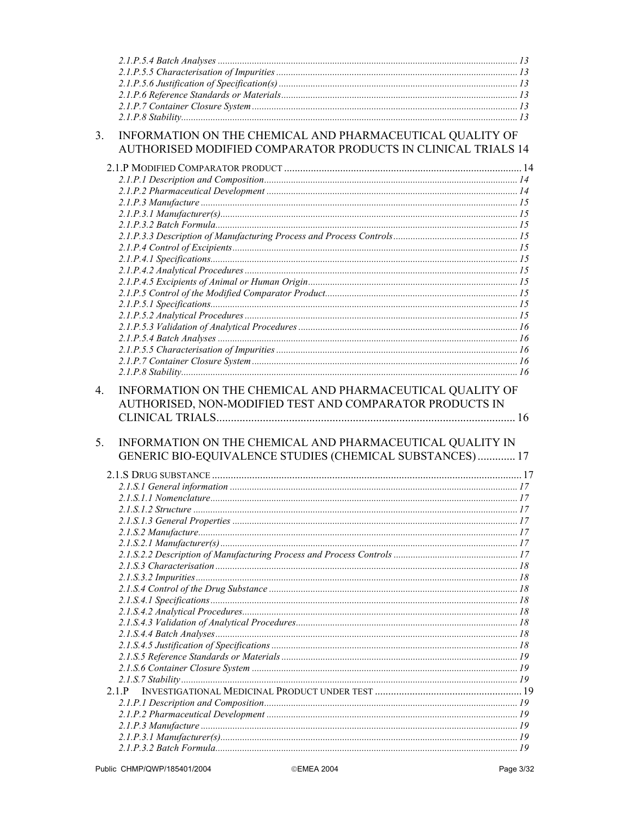| 3 <sub>1</sub> | INFORMATION ON THE CHEMICAL AND PHARMACEUTICAL QUALITY OF     |  |
|----------------|---------------------------------------------------------------|--|
|                | AUTHORISED MODIFIED COMPARATOR PRODUCTS IN CLINICAL TRIALS 14 |  |
|                |                                                               |  |
|                |                                                               |  |
|                |                                                               |  |
|                |                                                               |  |
|                |                                                               |  |
|                |                                                               |  |
|                |                                                               |  |
|                |                                                               |  |
|                |                                                               |  |
|                |                                                               |  |
|                |                                                               |  |
|                |                                                               |  |
|                |                                                               |  |
|                |                                                               |  |
|                |                                                               |  |
|                |                                                               |  |
|                |                                                               |  |
|                | AUTHORISED, NON-MODIFIED TEST AND COMPARATOR PRODUCTS IN      |  |
| 5.             | INFORMATION ON THE CHEMICAL AND PHARMACEUTICAL QUALITY IN     |  |
|                | GENERIC BIO-EQUIVALENCE STUDIES (CHEMICAL SUBSTANCES) 17      |  |
|                |                                                               |  |
|                |                                                               |  |
|                |                                                               |  |
|                |                                                               |  |
|                |                                                               |  |
|                |                                                               |  |
|                |                                                               |  |
|                |                                                               |  |
|                |                                                               |  |
|                |                                                               |  |
|                |                                                               |  |
|                |                                                               |  |
|                |                                                               |  |
|                |                                                               |  |
|                |                                                               |  |
|                |                                                               |  |
|                |                                                               |  |
|                | 2.1.P                                                         |  |
|                |                                                               |  |
|                |                                                               |  |
|                |                                                               |  |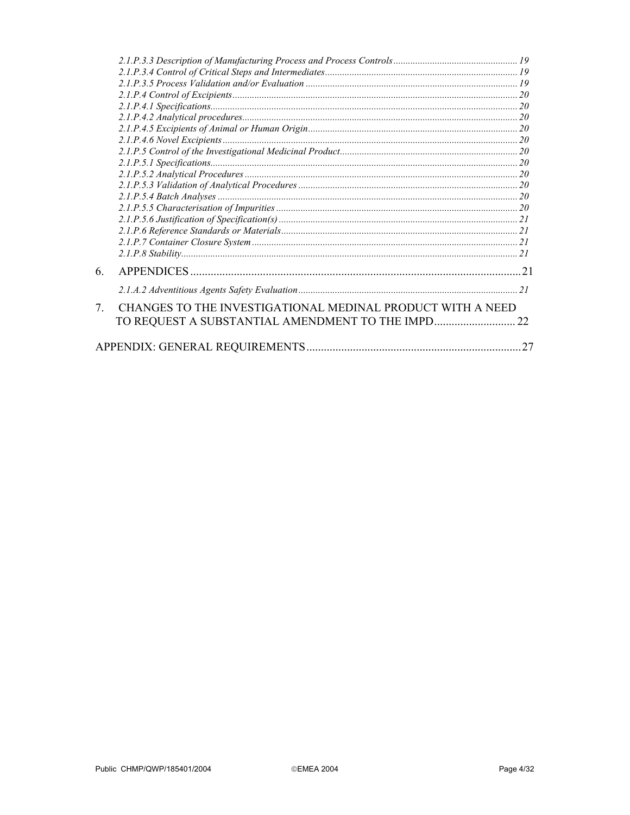| 6.                               |                                                            |    |
|----------------------------------|------------------------------------------------------------|----|
|                                  |                                                            |    |
| $7_{\scriptscriptstyle{\ddots}}$ | CHANGES TO THE INVESTIGATIONAL MEDINAL PRODUCT WITH A NEED |    |
|                                  | TO REQUEST A SUBSTANTIAL AMENDMENT TO THE IMPD             | 22 |
|                                  |                                                            | 27 |
|                                  |                                                            |    |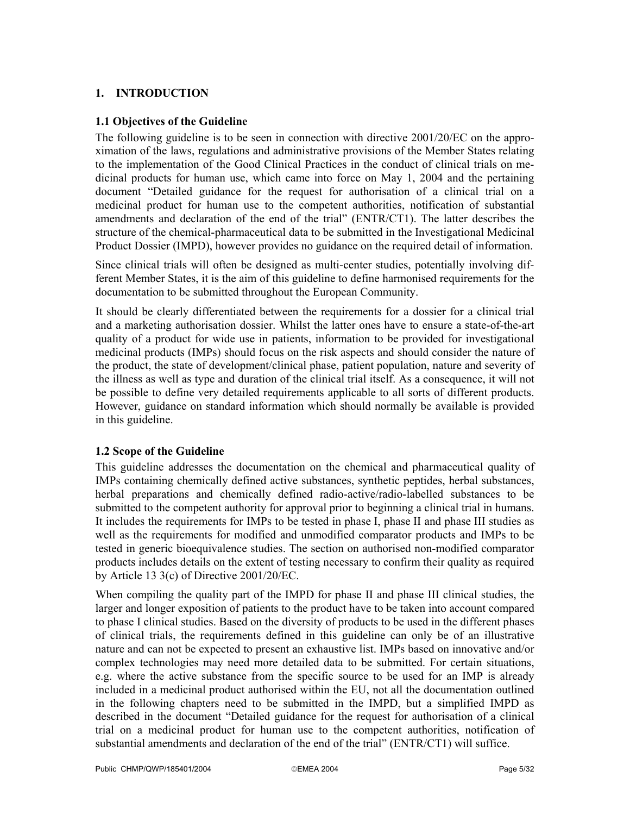## **1. INTRODUCTION**

#### **1.1 Objectives of the Guideline**

The following guideline is to be seen in connection with directive 2001/20/EC on the approximation of the laws, regulations and administrative provisions of the Member States relating to the implementation of the Good Clinical Practices in the conduct of clinical trials on medicinal products for human use, which came into force on May 1, 2004 and the pertaining document "Detailed guidance for the request for authorisation of a clinical trial on a medicinal product for human use to the competent authorities, notification of substantial amendments and declaration of the end of the trial" (ENTR/CT1). The latter describes the structure of the chemical-pharmaceutical data to be submitted in the Investigational Medicinal Product Dossier (IMPD), however provides no guidance on the required detail of information.

Since clinical trials will often be designed as multi-center studies, potentially involving different Member States, it is the aim of this guideline to define harmonised requirements for the documentation to be submitted throughout the European Community.

It should be clearly differentiated between the requirements for a dossier for a clinical trial and a marketing authorisation dossier. Whilst the latter ones have to ensure a state-of-the-art quality of a product for wide use in patients, information to be provided for investigational medicinal products (IMPs) should focus on the risk aspects and should consider the nature of the product, the state of development/clinical phase, patient population, nature and severity of the illness as well as type and duration of the clinical trial itself. As a consequence, it will not be possible to define very detailed requirements applicable to all sorts of different products. However, guidance on standard information which should normally be available is provided in this guideline.

#### **1.2 Scope of the Guideline**

This guideline addresses the documentation on the chemical and pharmaceutical quality of IMPs containing chemically defined active substances, synthetic peptides, herbal substances, herbal preparations and chemically defined radio-active/radio-labelled substances to be submitted to the competent authority for approval prior to beginning a clinical trial in humans. It includes the requirements for IMPs to be tested in phase I, phase II and phase III studies as well as the requirements for modified and unmodified comparator products and IMPs to be tested in generic bioequivalence studies. The section on authorised non-modified comparator products includes details on the extent of testing necessary to confirm their quality as required by Article 13 3(c) of Directive 2001/20/EC.

When compiling the quality part of the IMPD for phase II and phase III clinical studies, the larger and longer exposition of patients to the product have to be taken into account compared to phase I clinical studies. Based on the diversity of products to be used in the different phases of clinical trials, the requirements defined in this guideline can only be of an illustrative nature and can not be expected to present an exhaustive list. IMPs based on innovative and/or complex technologies may need more detailed data to be submitted. For certain situations, e.g. where the active substance from the specific source to be used for an IMP is already included in a medicinal product authorised within the EU, not all the documentation outlined in the following chapters need to be submitted in the IMPD, but a simplified IMPD as described in the document "Detailed guidance for the request for authorisation of a clinical trial on a medicinal product for human use to the competent authorities, notification of substantial amendments and declaration of the end of the trial" (ENTR/CT1) will suffice.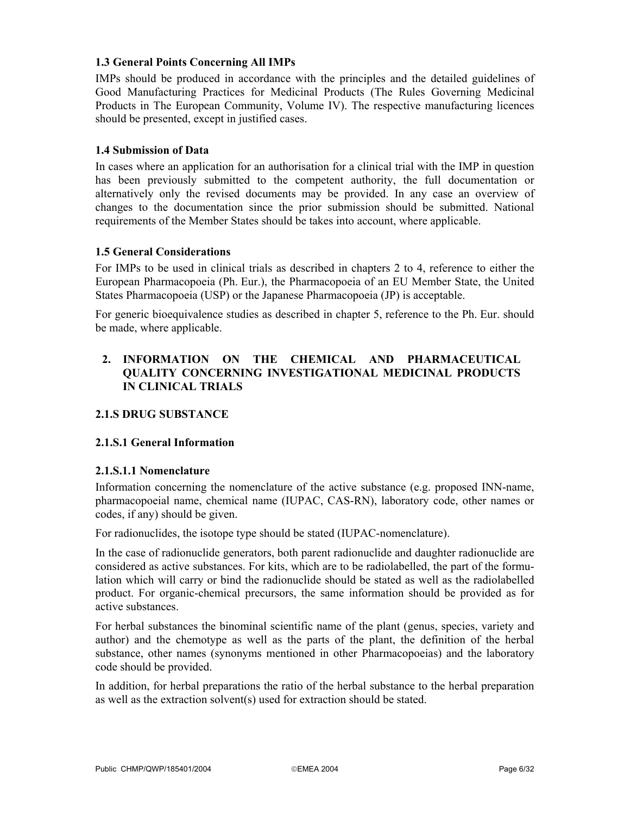## **1.3 General Points Concerning All IMPs**

IMPs should be produced in accordance with the principles and the detailed guidelines of Good Manufacturing Practices for Medicinal Products (The Rules Governing Medicinal Products in The European Community, Volume IV). The respective manufacturing licences should be presented, except in justified cases.

### **1.4 Submission of Data**

In cases where an application for an authorisation for a clinical trial with the IMP in question has been previously submitted to the competent authority, the full documentation or alternatively only the revised documents may be provided. In any case an overview of changes to the documentation since the prior submission should be submitted. National requirements of the Member States should be takes into account, where applicable.

## **1.5 General Considerations**

For IMPs to be used in clinical trials as described in chapters 2 to 4, reference to either the European Pharmacopoeia (Ph. Eur.), the Pharmacopoeia of an EU Member State, the United States Pharmacopoeia (USP) or the Japanese Pharmacopoeia (JP) is acceptable.

For generic bioequivalence studies as described in chapter 5, reference to the Ph. Eur. should be made, where applicable.

## **2. INFORMATION ON THE CHEMICAL AND PHARMACEUTICAL QUALITY CONCERNING INVESTIGATIONAL MEDICINAL PRODUCTS IN CLINICAL TRIALS**

## **2.1.S DRUG SUBSTANCE**

#### **2.1.S.1 General Information**

#### **2.1.S.1.1 Nomenclature**

Information concerning the nomenclature of the active substance (e.g. proposed INN-name, pharmacopoeial name, chemical name (IUPAC, CAS-RN), laboratory code, other names or codes, if any) should be given.

For radionuclides, the isotope type should be stated (IUPAC-nomenclature).

In the case of radionuclide generators, both parent radionuclide and daughter radionuclide are considered as active substances. For kits, which are to be radiolabelled, the part of the formulation which will carry or bind the radionuclide should be stated as well as the radiolabelled product. For organic-chemical precursors, the same information should be provided as for active substances.

For herbal substances the binominal scientific name of the plant (genus, species, variety and author) and the chemotype as well as the parts of the plant, the definition of the herbal substance, other names (synonyms mentioned in other Pharmacopoeias) and the laboratory code should be provided.

In addition, for herbal preparations the ratio of the herbal substance to the herbal preparation as well as the extraction solvent(s) used for extraction should be stated.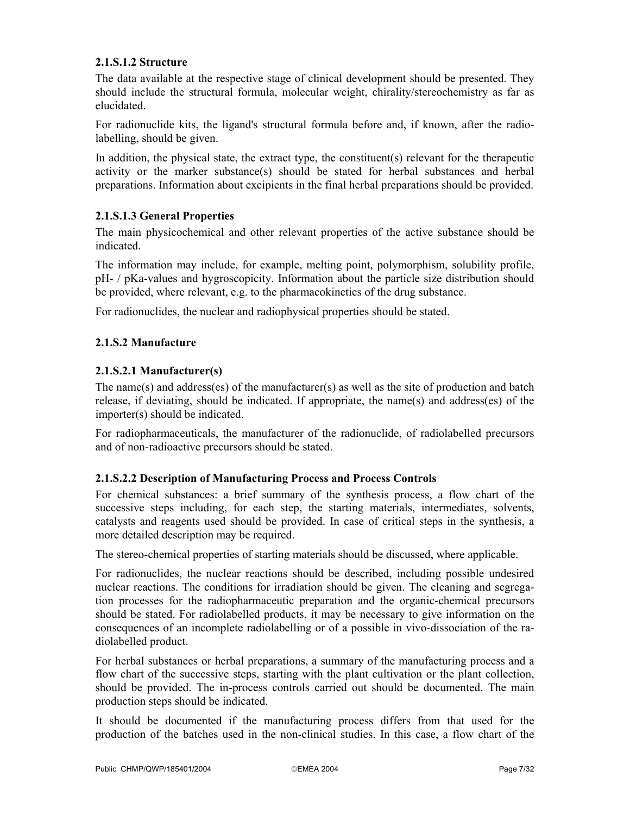## **2.1.S.1.2 Structure**

The data available at the respective stage of clinical development should be presented. They should include the structural formula, molecular weight, chirality/stereochemistry as far as elucidated.

For radionuclide kits, the ligand's structural formula before and, if known, after the radiolabelling, should be given.

In addition, the physical state, the extract type, the constituent(s) relevant for the therapeutic activity or the marker substance(s) should be stated for herbal substances and herbal preparations. Information about excipients in the final herbal preparations should be provided.

## **2.1.S.1.3 General Properties**

The main physicochemical and other relevant properties of the active substance should be indicated.

The information may include, for example, melting point, polymorphism, solubility profile, pH- / pKa-values and hygroscopicity. Information about the particle size distribution should be provided, where relevant, e.g. to the pharmacokinetics of the drug substance.

For radionuclides, the nuclear and radiophysical properties should be stated.

## **2.1.S.2 Manufacture**

## **2.1.S.2.1 Manufacturer(s)**

The name(s) and address(es) of the manufacturer(s) as well as the site of production and batch release, if deviating, should be indicated. If appropriate, the name(s) and address(es) of the importer(s) should be indicated.

For radiopharmaceuticals, the manufacturer of the radionuclide, of radiolabelled precursors and of non-radioactive precursors should be stated.

#### **2.1.S.2.2 Description of Manufacturing Process and Process Controls**

For chemical substances: a brief summary of the synthesis process, a flow chart of the successive steps including, for each step, the starting materials, intermediates, solvents, catalysts and reagents used should be provided. In case of critical steps in the synthesis, a more detailed description may be required.

The stereo-chemical properties of starting materials should be discussed, where applicable.

For radionuclides, the nuclear reactions should be described, including possible undesired nuclear reactions. The conditions for irradiation should be given. The cleaning and segregation processes for the radiopharmaceutic preparation and the organic-chemical precursors should be stated. For radiolabelled products, it may be necessary to give information on the consequences of an incomplete radiolabelling or of a possible in vivo-dissociation of the radiolabelled product.

For herbal substances or herbal preparations, a summary of the manufacturing process and a flow chart of the successive steps, starting with the plant cultivation or the plant collection, should be provided. The in-process controls carried out should be documented. The main production steps should be indicated.

It should be documented if the manufacturing process differs from that used for the production of the batches used in the non-clinical studies. In this case, a flow chart of the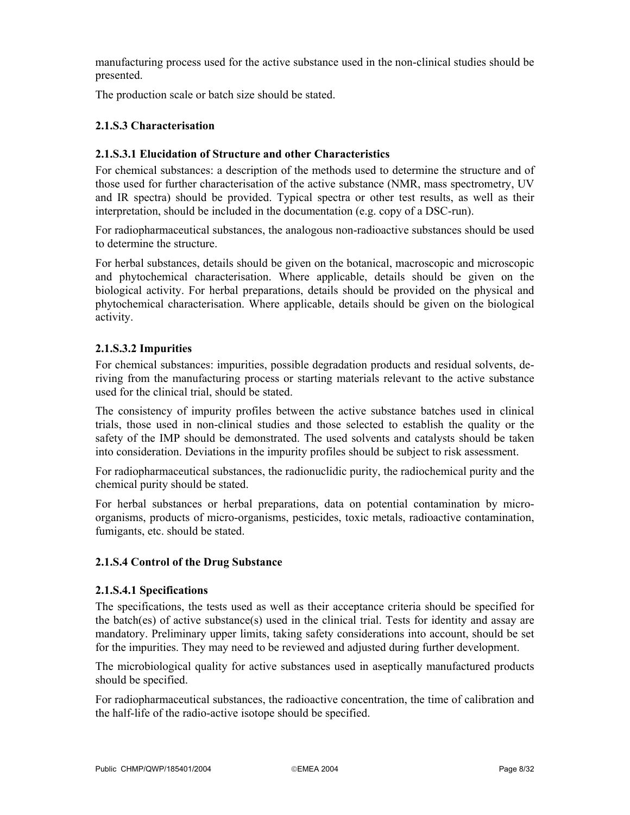manufacturing process used for the active substance used in the non-clinical studies should be presented.

The production scale or batch size should be stated.

## **2.1.S.3 Characterisation**

### **2.1.S.3.1 Elucidation of Structure and other Characteristics**

For chemical substances: a description of the methods used to determine the structure and of those used for further characterisation of the active substance (NMR, mass spectrometry, UV and IR spectra) should be provided. Typical spectra or other test results, as well as their interpretation, should be included in the documentation (e.g. copy of a DSC-run).

For radiopharmaceutical substances, the analogous non-radioactive substances should be used to determine the structure.

For herbal substances, details should be given on the botanical, macroscopic and microscopic and phytochemical characterisation. Where applicable, details should be given on the biological activity. For herbal preparations, details should be provided on the physical and phytochemical characterisation. Where applicable, details should be given on the biological activity.

## **2.1.S.3.2 Impurities**

For chemical substances: impurities, possible degradation products and residual solvents, deriving from the manufacturing process or starting materials relevant to the active substance used for the clinical trial, should be stated.

The consistency of impurity profiles between the active substance batches used in clinical trials, those used in non-clinical studies and those selected to establish the quality or the safety of the IMP should be demonstrated. The used solvents and catalysts should be taken into consideration. Deviations in the impurity profiles should be subject to risk assessment.

For radiopharmaceutical substances, the radionuclidic purity, the radiochemical purity and the chemical purity should be stated.

For herbal substances or herbal preparations, data on potential contamination by microorganisms, products of micro-organisms, pesticides, toxic metals, radioactive contamination, fumigants, etc. should be stated.

#### **2.1.S.4 Control of the Drug Substance**

#### **2.1.S.4.1 Specifications**

The specifications, the tests used as well as their acceptance criteria should be specified for the batch(es) of active substance(s) used in the clinical trial. Tests for identity and assay are mandatory. Preliminary upper limits, taking safety considerations into account, should be set for the impurities. They may need to be reviewed and adjusted during further development.

The microbiological quality for active substances used in aseptically manufactured products should be specified.

For radiopharmaceutical substances, the radioactive concentration, the time of calibration and the half-life of the radio-active isotope should be specified.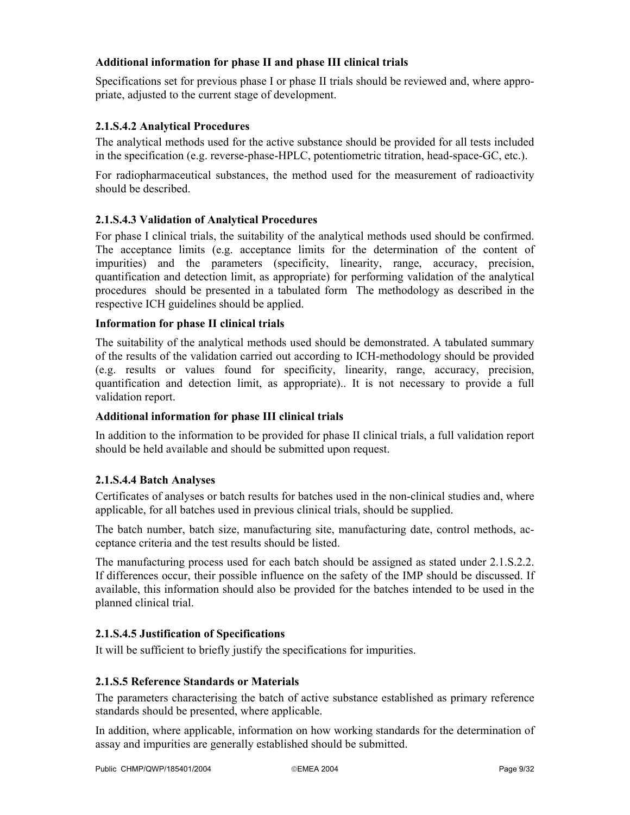## **Additional information for phase II and phase III clinical trials**

Specifications set for previous phase I or phase II trials should be reviewed and, where appropriate, adjusted to the current stage of development.

## **2.1.S.4.2 Analytical Procedures**

The analytical methods used for the active substance should be provided for all tests included in the specification (e.g. reverse-phase-HPLC, potentiometric titration, head-space-GC, etc.).

For radiopharmaceutical substances, the method used for the measurement of radioactivity should be described.

## **2.1.S.4.3 Validation of Analytical Procedures**

For phase I clinical trials, the suitability of the analytical methods used should be confirmed. The acceptance limits (e.g. acceptance limits for the determination of the content of impurities) and the parameters (specificity, linearity, range, accuracy, precision, quantification and detection limit, as appropriate) for performing validation of the analytical procedures should be presented in a tabulated form The methodology as described in the respective ICH guidelines should be applied.

## **Information for phase II clinical trials**

The suitability of the analytical methods used should be demonstrated. A tabulated summary of the results of the validation carried out according to ICH-methodology should be provided (e.g. results or values found for specificity, linearity, range, accuracy, precision, quantification and detection limit, as appropriate).. It is not necessary to provide a full validation report.

## **Additional information for phase III clinical trials**

In addition to the information to be provided for phase II clinical trials, a full validation report should be held available and should be submitted upon request.

## **2.1.S.4.4 Batch Analyses**

Certificates of analyses or batch results for batches used in the non-clinical studies and, where applicable, for all batches used in previous clinical trials, should be supplied.

The batch number, batch size, manufacturing site, manufacturing date, control methods, acceptance criteria and the test results should be listed.

The manufacturing process used for each batch should be assigned as stated under 2.1.S.2.2. If differences occur, their possible influence on the safety of the IMP should be discussed. If available, this information should also be provided for the batches intended to be used in the planned clinical trial.

## **2.1.S.4.5 Justification of Specifications**

It will be sufficient to briefly justify the specifications for impurities.

#### **2.1.S.5 Reference Standards or Materials**

The parameters characterising the batch of active substance established as primary reference standards should be presented, where applicable.

In addition, where applicable, information on how working standards for the determination of assay and impurities are generally established should be submitted.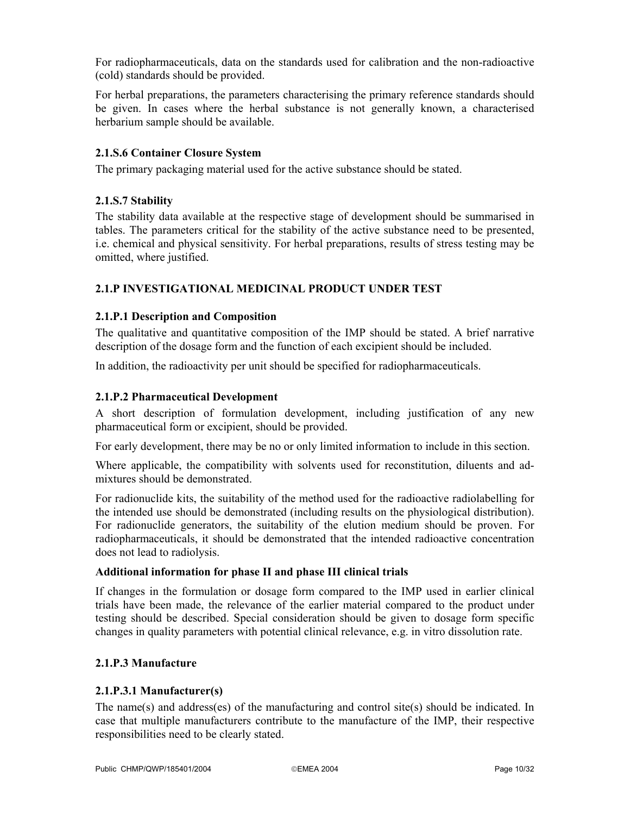For radiopharmaceuticals, data on the standards used for calibration and the non-radioactive (cold) standards should be provided.

For herbal preparations, the parameters characterising the primary reference standards should be given. In cases where the herbal substance is not generally known, a characterised herbarium sample should be available.

## **2.1.S.6 Container Closure System**

The primary packaging material used for the active substance should be stated.

### **2.1.S.7 Stability**

The stability data available at the respective stage of development should be summarised in tables. The parameters critical for the stability of the active substance need to be presented, i.e. chemical and physical sensitivity. For herbal preparations, results of stress testing may be omitted, where justified.

## **2.1.P INVESTIGATIONAL MEDICINAL PRODUCT UNDER TEST**

#### **2.1.P.1 Description and Composition**

The qualitative and quantitative composition of the IMP should be stated. A brief narrative description of the dosage form and the function of each excipient should be included.

In addition, the radioactivity per unit should be specified for radiopharmaceuticals.

#### **2.1.P.2 Pharmaceutical Development**

A short description of formulation development, including justification of any new pharmaceutical form or excipient, should be provided.

For early development, there may be no or only limited information to include in this section.

Where applicable, the compatibility with solvents used for reconstitution, diluents and admixtures should be demonstrated.

For radionuclide kits, the suitability of the method used for the radioactive radiolabelling for the intended use should be demonstrated (including results on the physiological distribution). For radionuclide generators, the suitability of the elution medium should be proven. For radiopharmaceuticals, it should be demonstrated that the intended radioactive concentration does not lead to radiolysis.

#### **Additional information for phase II and phase III clinical trials**

If changes in the formulation or dosage form compared to the IMP used in earlier clinical trials have been made, the relevance of the earlier material compared to the product under testing should be described. Special consideration should be given to dosage form specific changes in quality parameters with potential clinical relevance, e.g. in vitro dissolution rate.

#### **2.1.P.3 Manufacture**

#### **2.1.P.3.1 Manufacturer(s)**

The name(s) and address(es) of the manufacturing and control site(s) should be indicated. In case that multiple manufacturers contribute to the manufacture of the IMP, their respective responsibilities need to be clearly stated.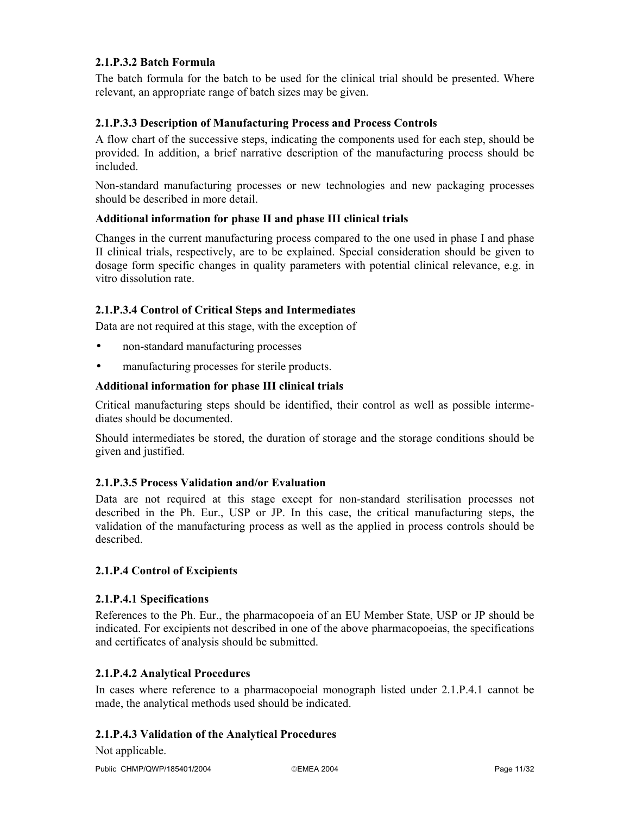## **2.1.P.3.2 Batch Formula**

The batch formula for the batch to be used for the clinical trial should be presented. Where relevant, an appropriate range of batch sizes may be given.

## **2.1.P.3.3 Description of Manufacturing Process and Process Controls**

A flow chart of the successive steps, indicating the components used for each step, should be provided. In addition, a brief narrative description of the manufacturing process should be included.

Non-standard manufacturing processes or new technologies and new packaging processes should be described in more detail.

#### **Additional information for phase II and phase III clinical trials**

Changes in the current manufacturing process compared to the one used in phase I and phase II clinical trials, respectively, are to be explained. Special consideration should be given to dosage form specific changes in quality parameters with potential clinical relevance, e.g. in vitro dissolution rate.

## **2.1.P.3.4 Control of Critical Steps and Intermediates**

Data are not required at this stage, with the exception of

- non-standard manufacturing processes
- manufacturing processes for sterile products.

## **Additional information for phase III clinical trials**

Critical manufacturing steps should be identified, their control as well as possible intermediates should be documented.

Should intermediates be stored, the duration of storage and the storage conditions should be given and justified.

#### **2.1.P.3.5 Process Validation and/or Evaluation**

Data are not required at this stage except for non-standard sterilisation processes not described in the Ph. Eur., USP or JP. In this case, the critical manufacturing steps, the validation of the manufacturing process as well as the applied in process controls should be described.

#### **2.1.P.4 Control of Excipients**

#### **2.1.P.4.1 Specifications**

References to the Ph. Eur., the pharmacopoeia of an EU Member State, USP or JP should be indicated. For excipients not described in one of the above pharmacopoeias, the specifications and certificates of analysis should be submitted.

#### **2.1.P.4.2 Analytical Procedures**

In cases where reference to a pharmacopoeial monograph listed under 2.1.P.4.1 cannot be made, the analytical methods used should be indicated.

#### **2.1.P.4.3 Validation of the Analytical Procedures**

Not applicable.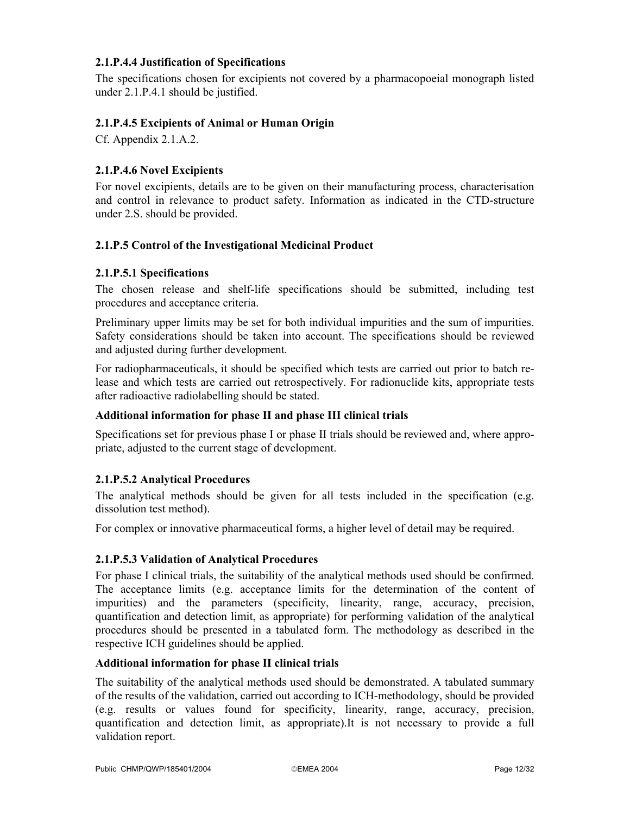## **2.1.P.4.4 Justification of Specifications**

The specifications chosen for excipients not covered by a pharmacopoeial monograph listed under 2.1.P.4.1 should be justified.

### **2.1.P.4.5 Excipients of Animal or Human Origin**

Cf. Appendix 2.1.A.2.

## **2.1.P.4.6 Novel Excipients**

For novel excipients, details are to be given on their manufacturing process, characterisation and control in relevance to product safety. Information as indicated in the CTD-structure under 2.S. should be provided.

## **2.1.P.5 Control of the Investigational Medicinal Product**

#### **2.1.P.5.1 Specifications**

The chosen release and shelf-life specifications should be submitted, including test procedures and acceptance criteria.

Preliminary upper limits may be set for both individual impurities and the sum of impurities. Safety considerations should be taken into account. The specifications should be reviewed and adjusted during further development.

For radiopharmaceuticals, it should be specified which tests are carried out prior to batch release and which tests are carried out retrospectively. For radionuclide kits, appropriate tests after radioactive radiolabelling should be stated.

#### **Additional information for phase II and phase III clinical trials**

Specifications set for previous phase I or phase II trials should be reviewed and, where appropriate, adjusted to the current stage of development.

#### **2.1.P.5.2 Analytical Procedures**

The analytical methods should be given for all tests included in the specification (e.g. dissolution test method).

For complex or innovative pharmaceutical forms, a higher level of detail may be required.

#### **2.1.P.5.3 Validation of Analytical Procedures**

For phase I clinical trials, the suitability of the analytical methods used should be confirmed. The acceptance limits (e.g. acceptance limits for the determination of the content of impurities) and the parameters (specificity, linearity, range, accuracy, precision, quantification and detection limit, as appropriate) for performing validation of the analytical procedures should be presented in a tabulated form. The methodology as described in the respective ICH guidelines should be applied.

### **Additional information for phase II clinical trials**

The suitability of the analytical methods used should be demonstrated. A tabulated summary of the results of the validation, carried out according to ICH-methodology, should be provided (e.g. results or values found for specificity, linearity, range, accuracy, precision, quantification and detection limit, as appropriate).It is not necessary to provide a full validation report.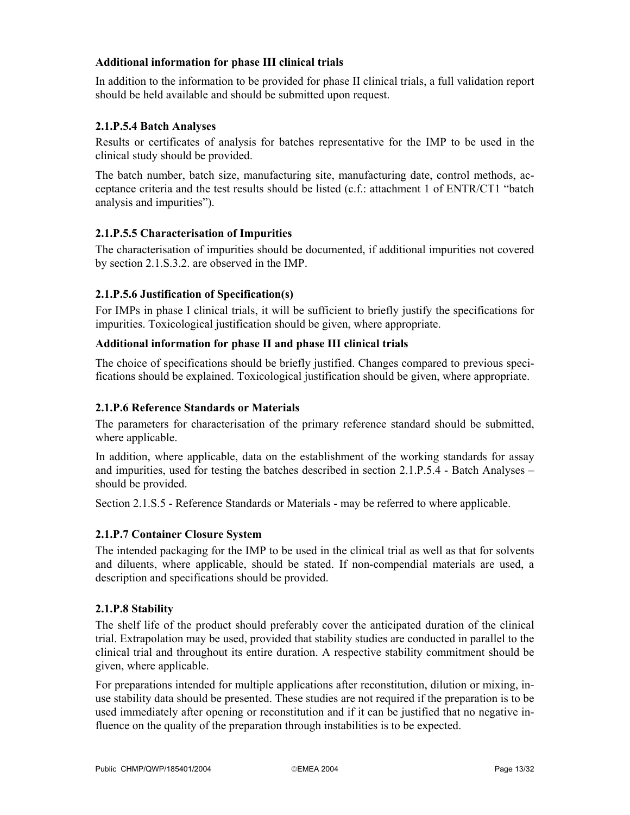## **Additional information for phase III clinical trials**

In addition to the information to be provided for phase II clinical trials, a full validation report should be held available and should be submitted upon request.

## **2.1.P.5.4 Batch Analyses**

Results or certificates of analysis for batches representative for the IMP to be used in the clinical study should be provided.

The batch number, batch size, manufacturing site, manufacturing date, control methods, acceptance criteria and the test results should be listed (c.f.: attachment 1 of ENTR/CT1 "batch analysis and impurities").

## **2.1.P.5.5 Characterisation of Impurities**

The characterisation of impurities should be documented, if additional impurities not covered by section 2.1.S.3.2. are observed in the IMP.

## **2.1.P.5.6 Justification of Specification(s)**

For IMPs in phase I clinical trials, it will be sufficient to briefly justify the specifications for impurities. Toxicological justification should be given, where appropriate.

## **Additional information for phase II and phase III clinical trials**

The choice of specifications should be briefly justified. Changes compared to previous specifications should be explained. Toxicological justification should be given, where appropriate.

### **2.1.P.6 Reference Standards or Materials**

The parameters for characterisation of the primary reference standard should be submitted, where applicable.

In addition, where applicable, data on the establishment of the working standards for assay and impurities, used for testing the batches described in section 2.1.P.5.4 - Batch Analyses – should be provided.

Section 2.1.S.5 - Reference Standards or Materials - may be referred to where applicable.

#### **2.1.P.7 Container Closure System**

The intended packaging for the IMP to be used in the clinical trial as well as that for solvents and diluents, where applicable, should be stated. If non-compendial materials are used, a description and specifications should be provided.

#### **2.1.P.8 Stability**

The shelf life of the product should preferably cover the anticipated duration of the clinical trial. Extrapolation may be used, provided that stability studies are conducted in parallel to the clinical trial and throughout its entire duration. A respective stability commitment should be given, where applicable.

For preparations intended for multiple applications after reconstitution, dilution or mixing, inuse stability data should be presented. These studies are not required if the preparation is to be used immediately after opening or reconstitution and if it can be justified that no negative influence on the quality of the preparation through instabilities is to be expected.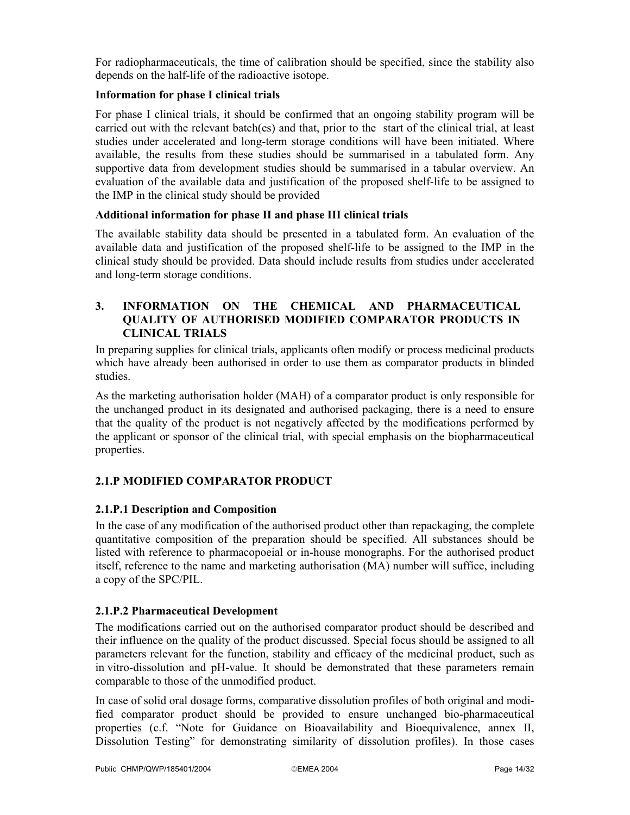For radiopharmaceuticals, the time of calibration should be specified, since the stability also depends on the half-life of the radioactive isotope.

## **Information for phase I clinical trials**

For phase I clinical trials, it should be confirmed that an ongoing stability program will be carried out with the relevant batch(es) and that, prior to the start of the clinical trial, at least studies under accelerated and long-term storage conditions will have been initiated. Where available, the results from these studies should be summarised in a tabulated form. Any supportive data from development studies should be summarised in a tabular overview. An evaluation of the available data and justification of the proposed shelf-life to be assigned to the IMP in the clinical study should be provided

## **Additional information for phase II and phase III clinical trials**

The available stability data should be presented in a tabulated form. An evaluation of the available data and justification of the proposed shelf-life to be assigned to the IMP in the clinical study should be provided. Data should include results from studies under accelerated and long-term storage conditions.

## **3. INFORMATION ON THE CHEMICAL AND PHARMACEUTICAL QUALITY OF AUTHORISED MODIFIED COMPARATOR PRODUCTS IN CLINICAL TRIALS**

In preparing supplies for clinical trials, applicants often modify or process medicinal products which have already been authorised in order to use them as comparator products in blinded studies.

As the marketing authorisation holder (MAH) of a comparator product is only responsible for the unchanged product in its designated and authorised packaging, there is a need to ensure that the quality of the product is not negatively affected by the modifications performed by the applicant or sponsor of the clinical trial, with special emphasis on the biopharmaceutical properties.

## **2.1.P MODIFIED COMPARATOR PRODUCT**

## **2.1.P.1 Description and Composition**

In the case of any modification of the authorised product other than repackaging, the complete quantitative composition of the preparation should be specified. All substances should be listed with reference to pharmacopoeial or in-house monographs. For the authorised product itself, reference to the name and marketing authorisation (MA) number will suffice, including a copy of the SPC/PIL.

### **2.1.P.2 Pharmaceutical Development**

The modifications carried out on the authorised comparator product should be described and their influence on the quality of the product discussed. Special focus should be assigned to all parameters relevant for the function, stability and efficacy of the medicinal product, such as in vitro-dissolution and pH-value. It should be demonstrated that these parameters remain comparable to those of the unmodified product.

In case of solid oral dosage forms, comparative dissolution profiles of both original and modified comparator product should be provided to ensure unchanged bio-pharmaceutical properties (c.f. "Note for Guidance on Bioavailability and Bioequivalence, annex II, Dissolution Testing" for demonstrating similarity of dissolution profiles). In those cases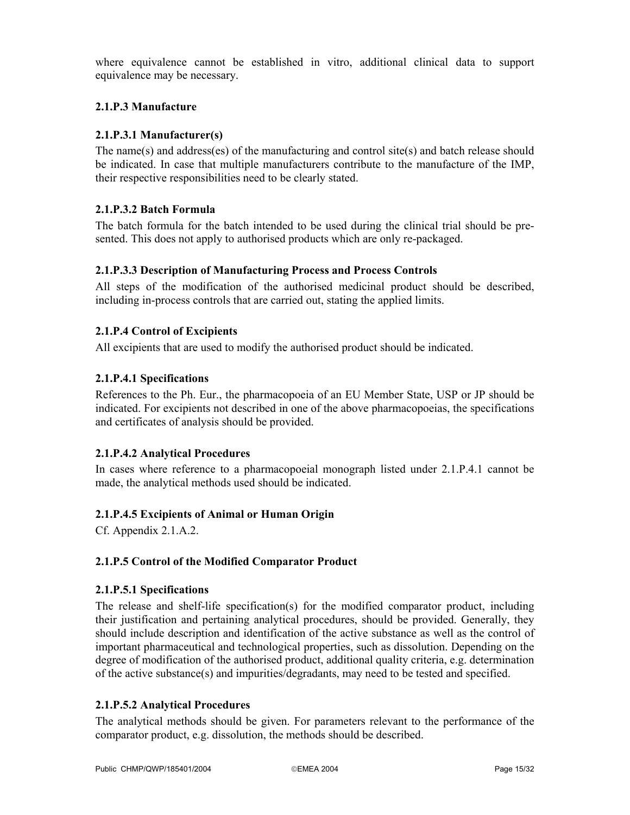where equivalence cannot be established in vitro, additional clinical data to support equivalence may be necessary.

## **2.1.P.3 Manufacture**

## **2.1.P.3.1 Manufacturer(s)**

The name(s) and address(es) of the manufacturing and control site(s) and batch release should be indicated. In case that multiple manufacturers contribute to the manufacture of the IMP, their respective responsibilities need to be clearly stated.

## **2.1.P.3.2 Batch Formula**

The batch formula for the batch intended to be used during the clinical trial should be presented. This does not apply to authorised products which are only re-packaged.

## **2.1.P.3.3 Description of Manufacturing Process and Process Controls**

All steps of the modification of the authorised medicinal product should be described, including in-process controls that are carried out, stating the applied limits.

## **2.1.P.4 Control of Excipients**

All excipients that are used to modify the authorised product should be indicated.

## **2.1.P.4.1 Specifications**

References to the Ph. Eur., the pharmacopoeia of an EU Member State, USP or JP should be indicated. For excipients not described in one of the above pharmacopoeias, the specifications and certificates of analysis should be provided.

#### **2.1.P.4.2 Analytical Procedures**

In cases where reference to a pharmacopoeial monograph listed under 2.1.P.4.1 cannot be made, the analytical methods used should be indicated.

#### **2.1.P.4.5 Excipients of Animal or Human Origin**

Cf. Appendix 2.1.A.2.

#### **2.1.P.5 Control of the Modified Comparator Product**

#### **2.1.P.5.1 Specifications**

The release and shelf-life specification(s) for the modified comparator product, including their justification and pertaining analytical procedures, should be provided. Generally, they should include description and identification of the active substance as well as the control of important pharmaceutical and technological properties, such as dissolution. Depending on the degree of modification of the authorised product, additional quality criteria, e.g. determination of the active substance(s) and impurities/degradants, may need to be tested and specified.

## **2.1.P.5.2 Analytical Procedures**

The analytical methods should be given. For parameters relevant to the performance of the comparator product, e.g. dissolution, the methods should be described.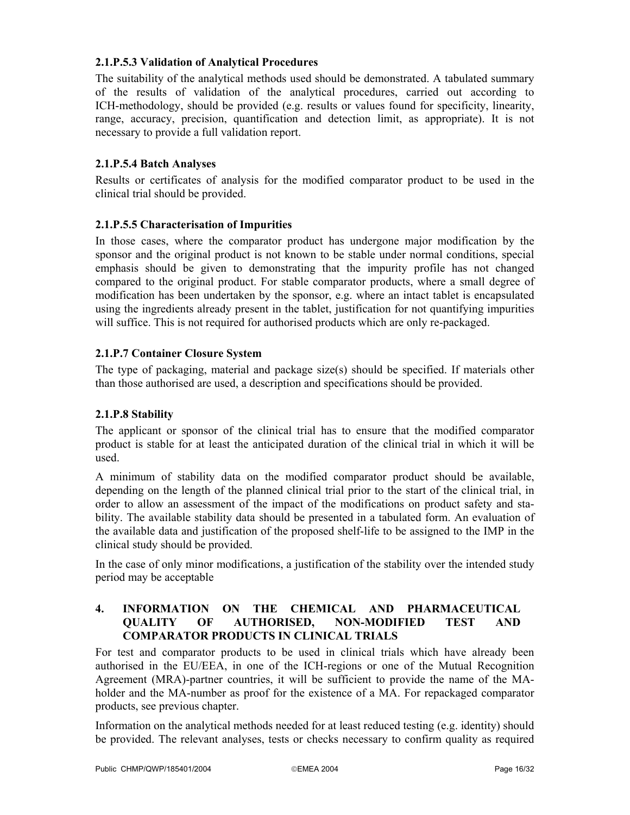## **2.1.P.5.3 Validation of Analytical Procedures**

The suitability of the analytical methods used should be demonstrated. A tabulated summary of the results of validation of the analytical procedures, carried out according to ICH-methodology, should be provided (e.g. results or values found for specificity, linearity, range, accuracy, precision, quantification and detection limit, as appropriate). It is not necessary to provide a full validation report.

## **2.1.P.5.4 Batch Analyses**

Results or certificates of analysis for the modified comparator product to be used in the clinical trial should be provided.

## **2.1.P.5.5 Characterisation of Impurities**

In those cases, where the comparator product has undergone major modification by the sponsor and the original product is not known to be stable under normal conditions, special emphasis should be given to demonstrating that the impurity profile has not changed compared to the original product. For stable comparator products, where a small degree of modification has been undertaken by the sponsor, e.g. where an intact tablet is encapsulated using the ingredients already present in the tablet, justification for not quantifying impurities will suffice. This is not required for authorised products which are only re-packaged.

## **2.1.P.7 Container Closure System**

The type of packaging, material and package size(s) should be specified. If materials other than those authorised are used, a description and specifications should be provided.

#### **2.1.P.8 Stability**

The applicant or sponsor of the clinical trial has to ensure that the modified comparator product is stable for at least the anticipated duration of the clinical trial in which it will be used.

A minimum of stability data on the modified comparator product should be available, depending on the length of the planned clinical trial prior to the start of the clinical trial, in order to allow an assessment of the impact of the modifications on product safety and stability. The available stability data should be presented in a tabulated form. An evaluation of the available data and justification of the proposed shelf-life to be assigned to the IMP in the clinical study should be provided.

In the case of only minor modifications, a justification of the stability over the intended study period may be acceptable

## **4. INFORMATION ON THE CHEMICAL AND PHARMACEUTICAL QUALITY OF AUTHORISED, NON-MODIFIED TEST AND COMPARATOR PRODUCTS IN CLINICAL TRIALS**

For test and comparator products to be used in clinical trials which have already been authorised in the EU/EEA, in one of the ICH-regions or one of the Mutual Recognition Agreement (MRA)-partner countries, it will be sufficient to provide the name of the MAholder and the MA-number as proof for the existence of a MA. For repackaged comparator products, see previous chapter.

Information on the analytical methods needed for at least reduced testing (e.g. identity) should be provided. The relevant analyses, tests or checks necessary to confirm quality as required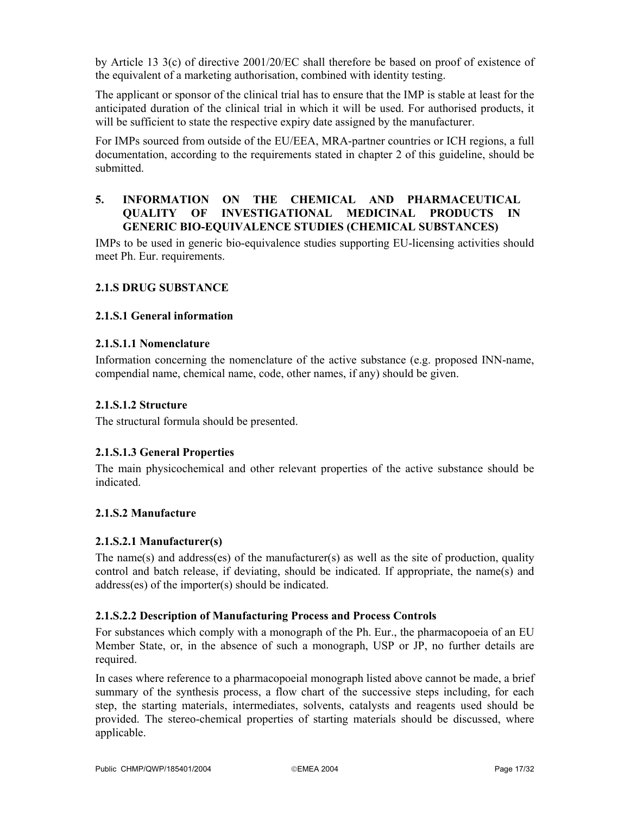by Article 13 3(c) of directive 2001/20/EC shall therefore be based on proof of existence of the equivalent of a marketing authorisation, combined with identity testing.

The applicant or sponsor of the clinical trial has to ensure that the IMP is stable at least for the anticipated duration of the clinical trial in which it will be used. For authorised products, it will be sufficient to state the respective expiry date assigned by the manufacturer.

For IMPs sourced from outside of the EU/EEA, MRA-partner countries or ICH regions, a full documentation, according to the requirements stated in chapter 2 of this guideline, should be submitted.

## **5. INFORMATION ON THE CHEMICAL AND PHARMACEUTICAL QUALITY OF INVESTIGATIONAL MEDICINAL PRODUCTS IN GENERIC BIO-EQUIVALENCE STUDIES (CHEMICAL SUBSTANCES)**

IMPs to be used in generic bio-equivalence studies supporting EU-licensing activities should meet Ph. Eur. requirements.

## **2.1.S DRUG SUBSTANCE**

#### **2.1.S.1 General information**

#### **2.1.S.1.1 Nomenclature**

Information concerning the nomenclature of the active substance (e.g. proposed INN-name, compendial name, chemical name, code, other names, if any) should be given.

#### **2.1.S.1.2 Structure**

The structural formula should be presented.

#### **2.1.S.1.3 General Properties**

The main physicochemical and other relevant properties of the active substance should be indicated.

#### **2.1.S.2 Manufacture**

#### **2.1.S.2.1 Manufacturer(s)**

The name(s) and address(es) of the manufacturer(s) as well as the site of production, quality control and batch release, if deviating, should be indicated. If appropriate, the name(s) and address(es) of the importer(s) should be indicated.

#### **2.1.S.2.2 Description of Manufacturing Process and Process Controls**

For substances which comply with a monograph of the Ph. Eur., the pharmacopoeia of an EU Member State, or, in the absence of such a monograph, USP or JP, no further details are required.

In cases where reference to a pharmacopoeial monograph listed above cannot be made, a brief summary of the synthesis process, a flow chart of the successive steps including, for each step, the starting materials, intermediates, solvents, catalysts and reagents used should be provided. The stereo-chemical properties of starting materials should be discussed, where applicable.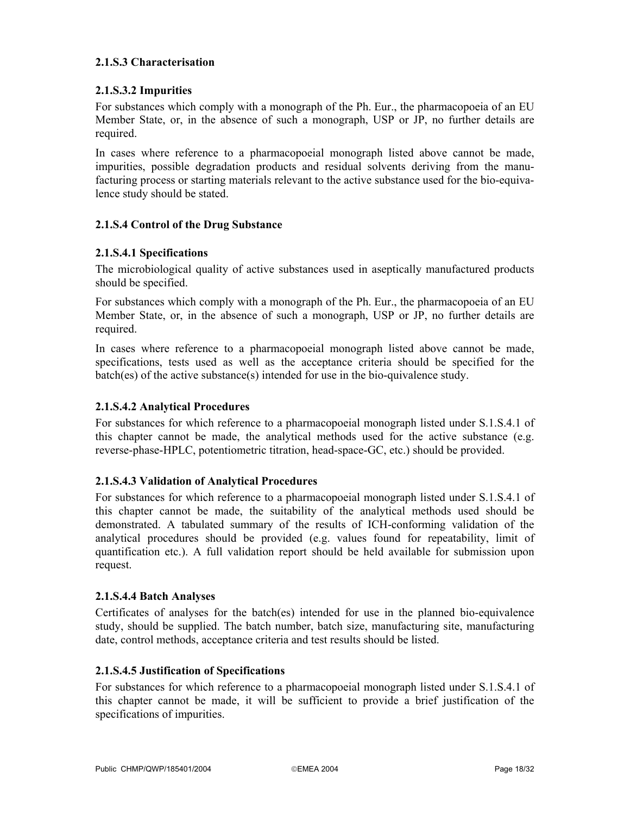## **2.1.S.3 Characterisation**

## **2.1.S.3.2 Impurities**

For substances which comply with a monograph of the Ph. Eur., the pharmacopoeia of an EU Member State, or, in the absence of such a monograph, USP or JP, no further details are required.

In cases where reference to a pharmacopoeial monograph listed above cannot be made, impurities, possible degradation products and residual solvents deriving from the manufacturing process or starting materials relevant to the active substance used for the bio-equivalence study should be stated.

## **2.1.S.4 Control of the Drug Substance**

## **2.1.S.4.1 Specifications**

The microbiological quality of active substances used in aseptically manufactured products should be specified.

For substances which comply with a monograph of the Ph. Eur., the pharmacopoeia of an EU Member State, or, in the absence of such a monograph, USP or JP, no further details are required.

In cases where reference to a pharmacopoeial monograph listed above cannot be made, specifications, tests used as well as the acceptance criteria should be specified for the batch(es) of the active substance(s) intended for use in the bio-quivalence study.

### **2.1.S.4.2 Analytical Procedures**

For substances for which reference to a pharmacopoeial monograph listed under S.1.S.4.1 of this chapter cannot be made, the analytical methods used for the active substance (e.g. reverse-phase-HPLC, potentiometric titration, head-space-GC, etc.) should be provided.

#### **2.1.S.4.3 Validation of Analytical Procedures**

For substances for which reference to a pharmacopoeial monograph listed under S.1.S.4.1 of this chapter cannot be made, the suitability of the analytical methods used should be demonstrated. A tabulated summary of the results of ICH-conforming validation of the analytical procedures should be provided (e.g. values found for repeatability, limit of quantification etc.). A full validation report should be held available for submission upon request.

#### **2.1.S.4.4 Batch Analyses**

Certificates of analyses for the batch(es) intended for use in the planned bio-equivalence study, should be supplied. The batch number, batch size, manufacturing site, manufacturing date, control methods, acceptance criteria and test results should be listed.

#### **2.1.S.4.5 Justification of Specifications**

For substances for which reference to a pharmacopoeial monograph listed under S.1.S.4.1 of this chapter cannot be made, it will be sufficient to provide a brief justification of the specifications of impurities.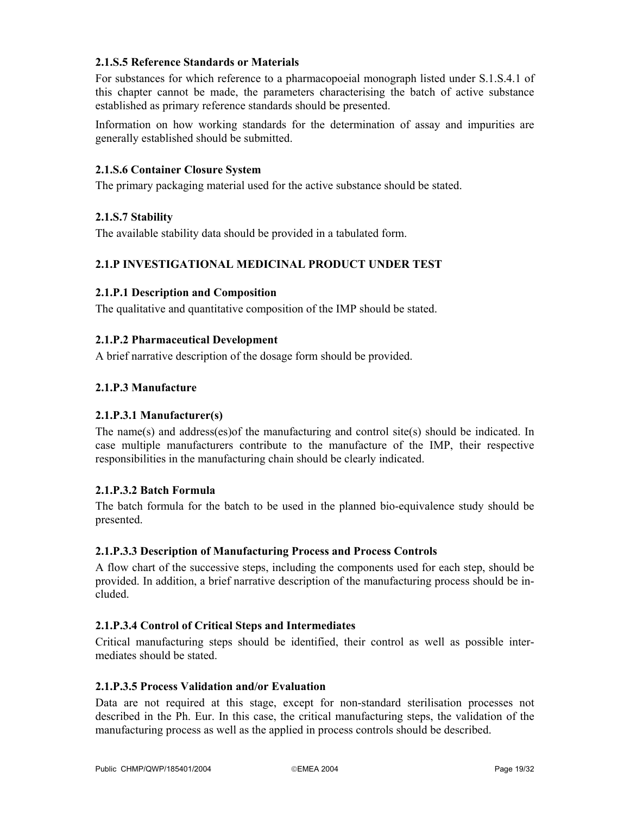## **2.1.S.5 Reference Standards or Materials**

For substances for which reference to a pharmacopoeial monograph listed under S.1.S.4.1 of this chapter cannot be made, the parameters characterising the batch of active substance established as primary reference standards should be presented.

Information on how working standards for the determination of assay and impurities are generally established should be submitted.

#### **2.1.S.6 Container Closure System**

The primary packaging material used for the active substance should be stated.

#### **2.1.S.7 Stability**

The available stability data should be provided in a tabulated form.

#### **2.1.P INVESTIGATIONAL MEDICINAL PRODUCT UNDER TEST**

#### **2.1.P.1 Description and Composition**

The qualitative and quantitative composition of the IMP should be stated.

#### **2.1.P.2 Pharmaceutical Development**

A brief narrative description of the dosage form should be provided.

#### **2.1.P.3 Manufacture**

#### **2.1.P.3.1 Manufacturer(s)**

The name(s) and address(es)of the manufacturing and control site(s) should be indicated. In case multiple manufacturers contribute to the manufacture of the IMP, their respective responsibilities in the manufacturing chain should be clearly indicated.

#### **2.1.P.3.2 Batch Formula**

The batch formula for the batch to be used in the planned bio-equivalence study should be presented.

#### **2.1.P.3.3 Description of Manufacturing Process and Process Controls**

A flow chart of the successive steps, including the components used for each step, should be provided. In addition, a brief narrative description of the manufacturing process should be included.

#### **2.1.P.3.4 Control of Critical Steps and Intermediates**

Critical manufacturing steps should be identified, their control as well as possible intermediates should be stated.

#### **2.1.P.3.5 Process Validation and/or Evaluation**

Data are not required at this stage, except for non-standard sterilisation processes not described in the Ph. Eur. In this case, the critical manufacturing steps, the validation of the manufacturing process as well as the applied in process controls should be described.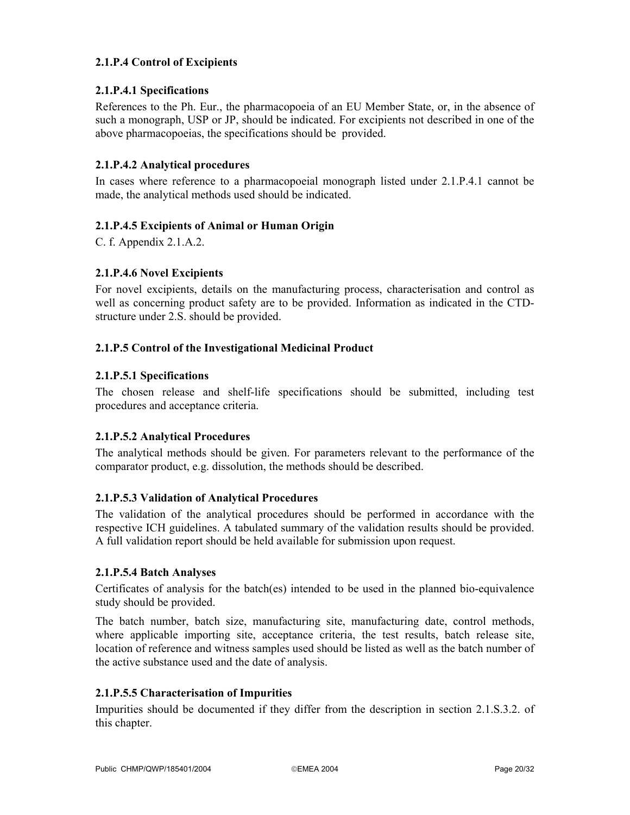## **2.1.P.4 Control of Excipients**

## **2.1.P.4.1 Specifications**

References to the Ph. Eur., the pharmacopoeia of an EU Member State, or, in the absence of such a monograph, USP or JP, should be indicated. For excipients not described in one of the above pharmacopoeias, the specifications should be provided.

## **2.1.P.4.2 Analytical procedures**

In cases where reference to a pharmacopoeial monograph listed under 2.1.P.4.1 cannot be made, the analytical methods used should be indicated.

## **2.1.P.4.5 Excipients of Animal or Human Origin**

C. f. Appendix 2.1.A.2.

## **2.1.P.4.6 Novel Excipients**

For novel excipients, details on the manufacturing process, characterisation and control as well as concerning product safety are to be provided. Information as indicated in the CTDstructure under 2.S. should be provided.

## **2.1.P.5 Control of the Investigational Medicinal Product**

## **2.1.P.5.1 Specifications**

The chosen release and shelf-life specifications should be submitted, including test procedures and acceptance criteria.

## **2.1.P.5.2 Analytical Procedures**

The analytical methods should be given. For parameters relevant to the performance of the comparator product, e.g. dissolution, the methods should be described.

## **2.1.P.5.3 Validation of Analytical Procedures**

The validation of the analytical procedures should be performed in accordance with the respective ICH guidelines. A tabulated summary of the validation results should be provided. A full validation report should be held available for submission upon request.

## **2.1.P.5.4 Batch Analyses**

Certificates of analysis for the batch(es) intended to be used in the planned bio-equivalence study should be provided.

The batch number, batch size, manufacturing site, manufacturing date, control methods, where applicable importing site, acceptance criteria, the test results, batch release site, location of reference and witness samples used should be listed as well as the batch number of the active substance used and the date of analysis.

## **2.1.P.5.5 Characterisation of Impurities**

Impurities should be documented if they differ from the description in section 2.1.S.3.2. of this chapter.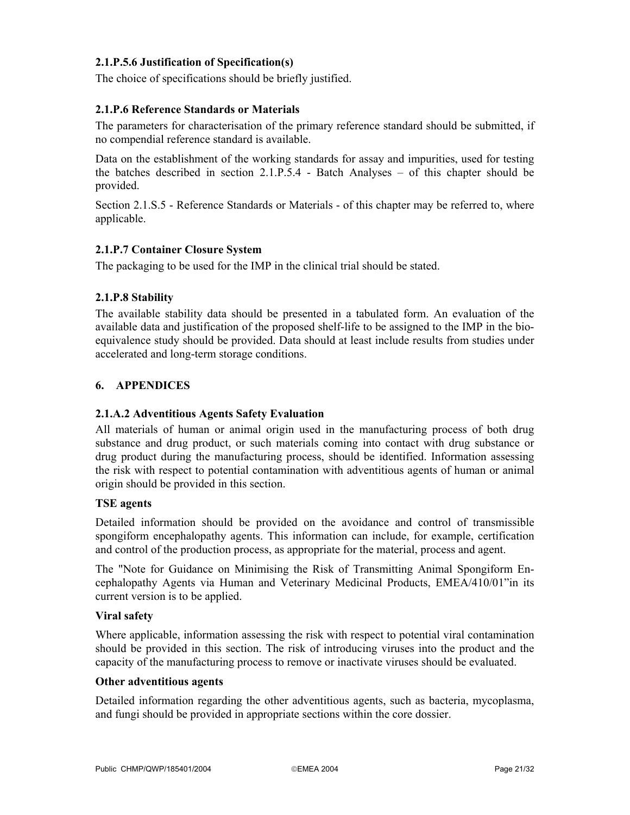## **2.1.P.5.6 Justification of Specification(s)**

The choice of specifications should be briefly justified.

### **2.1.P.6 Reference Standards or Materials**

The parameters for characterisation of the primary reference standard should be submitted, if no compendial reference standard is available.

Data on the establishment of the working standards for assay and impurities, used for testing the batches described in section 2.1.P.5.4 - Batch Analyses – of this chapter should be provided.

Section 2.1.S.5 - Reference Standards or Materials - of this chapter may be referred to, where applicable.

## **2.1.P.7 Container Closure System**

The packaging to be used for the IMP in the clinical trial should be stated.

## **2.1.P.8 Stability**

The available stability data should be presented in a tabulated form. An evaluation of the available data and justification of the proposed shelf-life to be assigned to the IMP in the bioequivalence study should be provided. Data should at least include results from studies under accelerated and long-term storage conditions.

## **6. APPENDICES**

#### **2.1.A.2 Adventitious Agents Safety Evaluation**

All materials of human or animal origin used in the manufacturing process of both drug substance and drug product, or such materials coming into contact with drug substance or drug product during the manufacturing process, should be identified. Information assessing the risk with respect to potential contamination with adventitious agents of human or animal origin should be provided in this section.

## **TSE agents**

Detailed information should be provided on the avoidance and control of transmissible spongiform encephalopathy agents. This information can include, for example, certification and control of the production process, as appropriate for the material, process and agent.

The "Note for Guidance on Minimising the Risk of Transmitting Animal Spongiform Encephalopathy Agents via Human and Veterinary Medicinal Products, EMEA/410/01"in its current version is to be applied.

#### **Viral safety**

Where applicable, information assessing the risk with respect to potential viral contamination should be provided in this section. The risk of introducing viruses into the product and the capacity of the manufacturing process to remove or inactivate viruses should be evaluated.

#### **Other adventitious agents**

Detailed information regarding the other adventitious agents, such as bacteria, mycoplasma, and fungi should be provided in appropriate sections within the core dossier.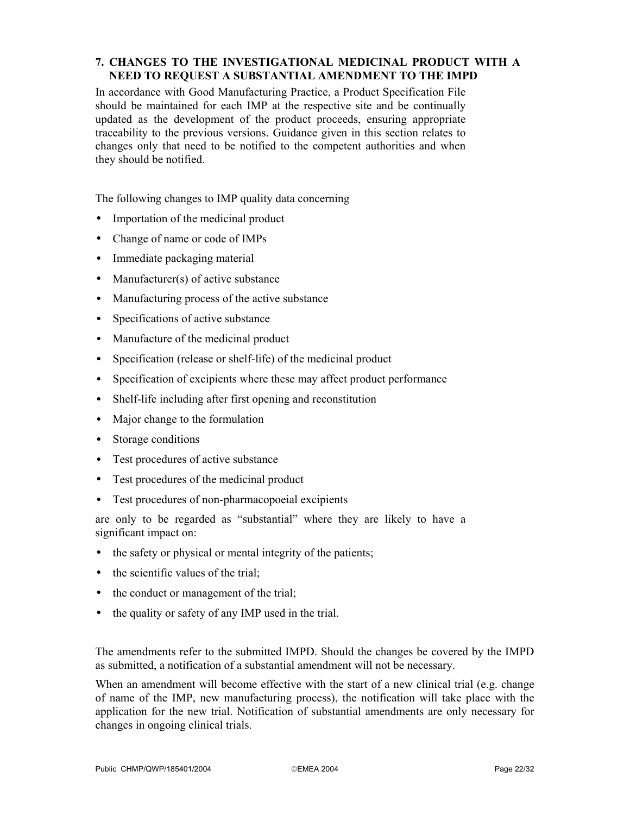## **7. CHANGES TO THE INVESTIGATIONAL MEDICINAL PRODUCT WITH A NEED TO REQUEST A SUBSTANTIAL AMENDMENT TO THE IMPD**

In accordance with Good Manufacturing Practice, a Product Specification File should be maintained for each IMP at the respective site and be continually updated as the development of the product proceeds, ensuring appropriate traceability to the previous versions. Guidance given in this section relates to changes only that need to be notified to the competent authorities and when they should be notified.

The following changes to IMP quality data concerning

- Importation of the medicinal product
- Change of name or code of IMPs
- Immediate packaging material
- Manufacturer(s) of active substance
- Manufacturing process of the active substance
- Specifications of active substance
- Manufacture of the medicinal product
- Specification (release or shelf-life) of the medicinal product
- Specification of excipients where these may affect product performance
- Shelf-life including after first opening and reconstitution
- Major change to the formulation
- Storage conditions
- Test procedures of active substance
- Test procedures of the medicinal product
- Test procedures of non-pharmacopoeial excipients

are only to be regarded as "substantial" where they are likely to have a significant impact on:

- the safety or physical or mental integrity of the patients;
- the scientific values of the trial;
- the conduct or management of the trial;
- the quality or safety of any IMP used in the trial.

The amendments refer to the submitted IMPD. Should the changes be covered by the IMPD as submitted, a notification of a substantial amendment will not be necessary.

When an amendment will become effective with the start of a new clinical trial (e.g. change of name of the IMP, new manufacturing process), the notification will take place with the application for the new trial. Notification of substantial amendments are only necessary for changes in ongoing clinical trials.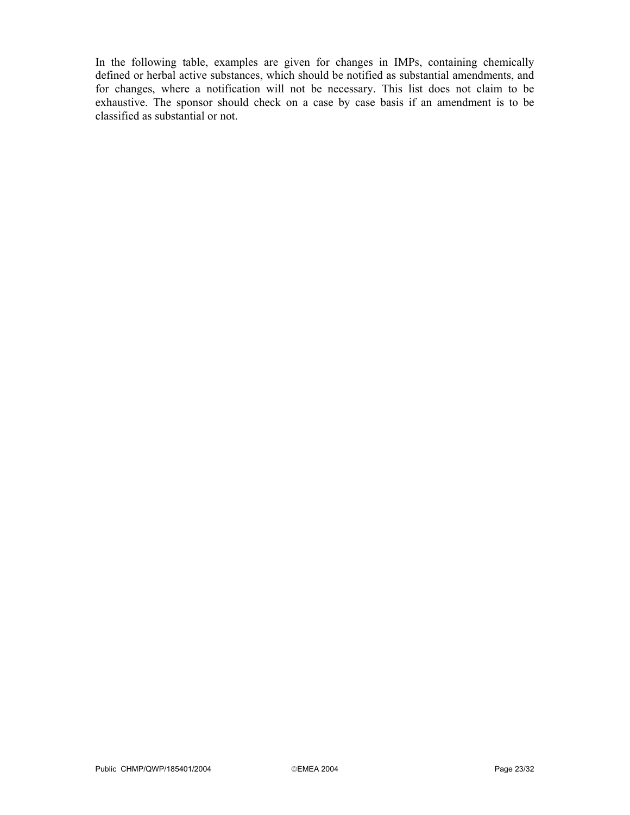In the following table, examples are given for changes in IMPs, containing chemically defined or herbal active substances, which should be notified as substantial amendments, and for changes, where a notification will not be necessary. This list does not claim to be exhaustive. The sponsor should check on a case by case basis if an amendment is to be classified as substantial or not.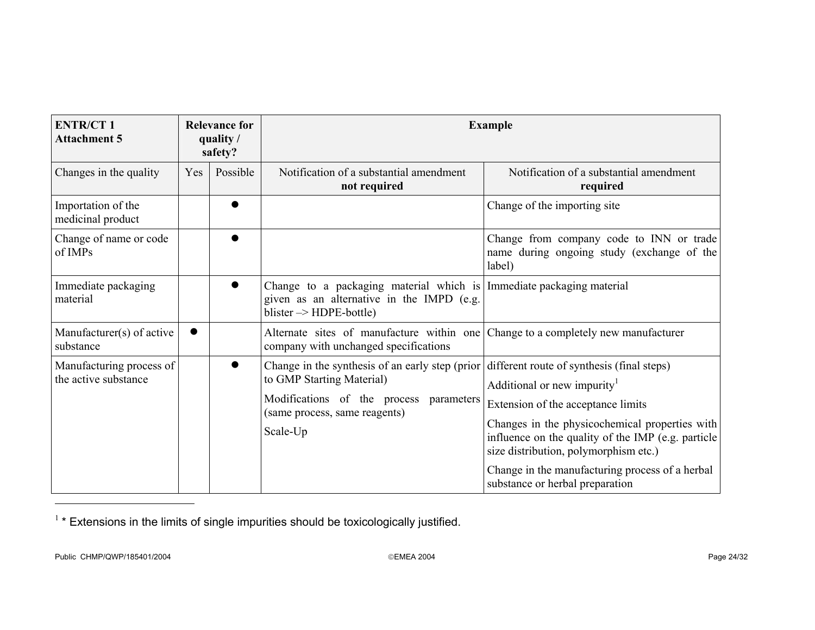| <b>ENTR/CT1</b><br><b>Attachment 5</b>           | <b>Relevance for</b><br>quality /<br>safety? |           | <b>Example</b>                                                                                                                                                          |                                                                                                                                                                                                                                                                                                                                                                    |  |
|--------------------------------------------------|----------------------------------------------|-----------|-------------------------------------------------------------------------------------------------------------------------------------------------------------------------|--------------------------------------------------------------------------------------------------------------------------------------------------------------------------------------------------------------------------------------------------------------------------------------------------------------------------------------------------------------------|--|
| Changes in the quality                           | Yes                                          | Possible  | Notification of a substantial amendment<br>not required                                                                                                                 | Notification of a substantial amendment<br>required                                                                                                                                                                                                                                                                                                                |  |
| Importation of the<br>medicinal product          |                                              |           |                                                                                                                                                                         | Change of the importing site                                                                                                                                                                                                                                                                                                                                       |  |
| Change of name or code<br>of IMPs                |                                              | $\bullet$ |                                                                                                                                                                         | Change from company code to INN or trade<br>name during ongoing study (exchange of the<br>label)                                                                                                                                                                                                                                                                   |  |
| Immediate packaging<br>material                  |                                              | $\bullet$ | Change to a packaging material which is Immediate packaging material<br>given as an alternative in the IMPD (e.g.<br>blister $\rightarrow$ HDPE-bottle)                 |                                                                                                                                                                                                                                                                                                                                                                    |  |
| Manufacturer(s) of active<br>substance           |                                              |           | Alternate sites of manufacture within one Change to a completely new manufacturer<br>company with unchanged specifications                                              |                                                                                                                                                                                                                                                                                                                                                                    |  |
| Manufacturing process of<br>the active substance |                                              |           | Change in the synthesis of an early step (prior<br>to GMP Starting Material)<br>Modifications of the process<br>parameters<br>(same process, same reagents)<br>Scale-Up | different route of synthesis (final steps)<br>Additional or new impurity <sup>1</sup><br>Extension of the acceptance limits<br>Changes in the physicochemical properties with<br>influence on the quality of the IMP (e.g. particle<br>size distribution, polymorphism etc.)<br>Change in the manufacturing process of a herbal<br>substance or herbal preparation |  |

 $1$  \* Extensions in the limits of single impurities should be toxicologically justified.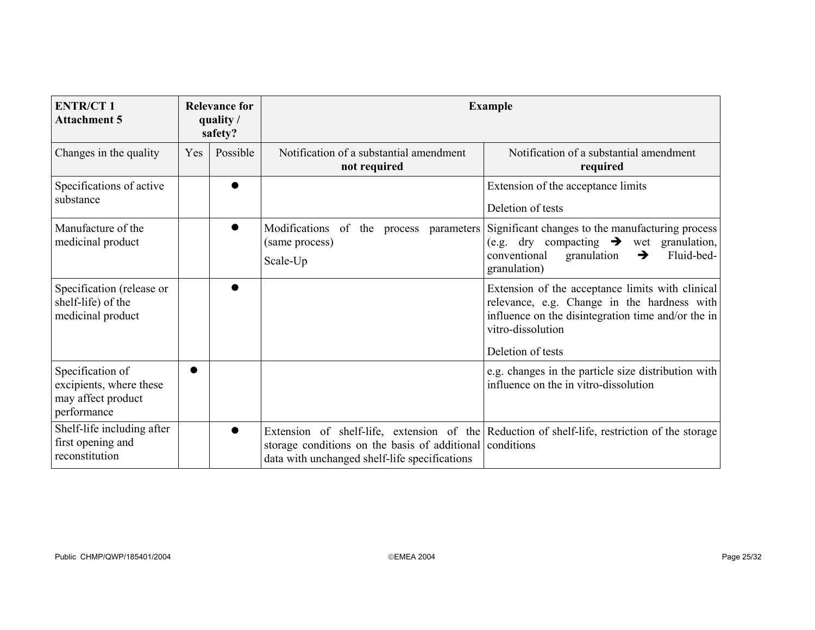| <b>ENTR/CT1</b><br><b>Attachment 5</b>                                           | <b>Relevance for</b><br>quality /<br>safety? |           | <b>Example</b>                                                                                            |                                                                                                                                                                                       |  |
|----------------------------------------------------------------------------------|----------------------------------------------|-----------|-----------------------------------------------------------------------------------------------------------|---------------------------------------------------------------------------------------------------------------------------------------------------------------------------------------|--|
| Changes in the quality                                                           | Yes                                          | Possible  | Notification of a substantial amendment<br>not required                                                   | Notification of a substantial amendment<br>required                                                                                                                                   |  |
| Specifications of active<br>substance                                            |                                              |           |                                                                                                           | Extension of the acceptance limits<br>Deletion of tests                                                                                                                               |  |
| Manufacture of the<br>medicinal product                                          |                                              | $\bullet$ | Modifications of the process parameters<br>(same process)<br>Scale-Up                                     | Significant changes to the manufacturing process<br>(e.g. dry compacting $\rightarrow$ wet granulation,<br>Fluid-bed-<br>conventional<br>granulation<br>$\rightarrow$<br>granulation) |  |
| Specification (release or<br>shelf-life) of the<br>medicinal product             |                                              |           |                                                                                                           | Extension of the acceptance limits with clinical<br>relevance, e.g. Change in the hardness with<br>influence on the disintegration time and/or the in<br>vitro-dissolution            |  |
|                                                                                  |                                              |           |                                                                                                           | Deletion of tests                                                                                                                                                                     |  |
| Specification of<br>excipients, where these<br>may affect product<br>performance |                                              |           |                                                                                                           | e.g. changes in the particle size distribution with<br>influence on the in vitro-dissolution                                                                                          |  |
| Shelf-life including after<br>first opening and<br>reconstitution                |                                              | ●         | storage conditions on the basis of additional conditions<br>data with unchanged shelf-life specifications | Extension of shelf-life, extension of the Reduction of shelf-life, restriction of the storage                                                                                         |  |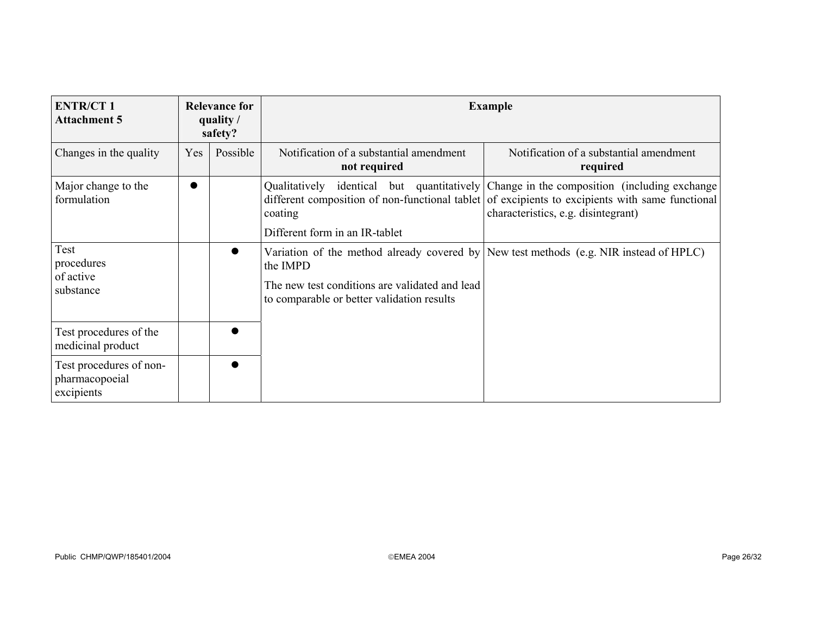| <b>ENTR/CT1</b><br><b>Attachment 5</b>                  |     | <b>Relevance for</b><br>quality /<br>safety? | <b>Example</b>                                                                                           |                                                                                                                                                                                                                                    |  |
|---------------------------------------------------------|-----|----------------------------------------------|----------------------------------------------------------------------------------------------------------|------------------------------------------------------------------------------------------------------------------------------------------------------------------------------------------------------------------------------------|--|
| Changes in the quality                                  | Yes | Possible                                     | Notification of a substantial amendment<br>not required                                                  | Notification of a substantial amendment<br>required                                                                                                                                                                                |  |
| Major change to the<br>formulation                      | ●   |                                              | coating<br>Different form in an IR-tablet                                                                | Qualitatively identical but quantitatively Change in the composition (including exchange<br>different composition of non-functional tablet of excipients to excipients with same functional<br>characteristics, e.g. disintegrant) |  |
| Test<br>procedures<br>of active<br>substance            |     | $\bullet$                                    | the IMPD<br>The new test conditions are validated and lead<br>to comparable or better validation results | Variation of the method already covered by New test methods (e.g. NIR instead of HPLC)                                                                                                                                             |  |
| Test procedures of the<br>medicinal product             |     |                                              |                                                                                                          |                                                                                                                                                                                                                                    |  |
| Test procedures of non-<br>pharmacopoeial<br>excipients |     |                                              |                                                                                                          |                                                                                                                                                                                                                                    |  |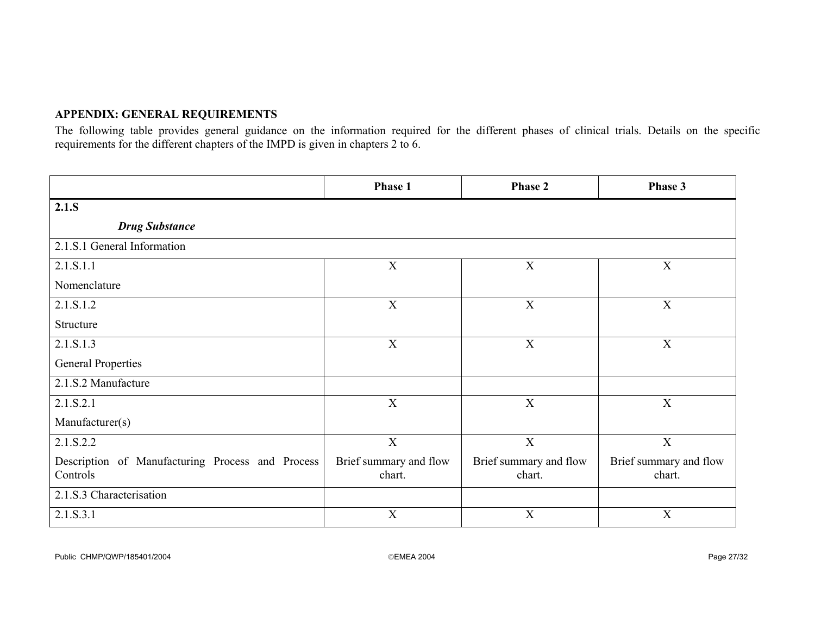## **APPENDIX: GENERAL REQUIREMENTS**

The following table provides general guidance on the information required for the different phases of clinical trials. Details on the specific requirements for the different chapters of the IMPD is given in chapters 2 to 6.

|                                                              | Phase 1                          | <b>Phase 2</b>                   | Phase 3                          |  |  |
|--------------------------------------------------------------|----------------------------------|----------------------------------|----------------------------------|--|--|
| 2.1.S                                                        |                                  |                                  |                                  |  |  |
| <b>Drug Substance</b>                                        |                                  |                                  |                                  |  |  |
| 2.1.S.1 General Information                                  |                                  |                                  |                                  |  |  |
| 2.1.S.1.1                                                    | $\mathbf X$                      | $\mathbf X$                      | $\mathbf X$                      |  |  |
| Nomenclature                                                 |                                  |                                  |                                  |  |  |
| 2.1.S.1.2                                                    | $\mathbf X$                      | $\mathbf X$                      | X                                |  |  |
| Structure                                                    |                                  |                                  |                                  |  |  |
| 2.1.S.1.3                                                    | X                                | X                                | X                                |  |  |
| <b>General Properties</b>                                    |                                  |                                  |                                  |  |  |
| 2.1.S.2 Manufacture                                          |                                  |                                  |                                  |  |  |
| 2.1.S.2.1                                                    | X                                | $\mathbf X$                      | $\mathbf X$                      |  |  |
| Manufacturer(s)                                              |                                  |                                  |                                  |  |  |
| 2.1.S.2.2                                                    | $\overline{X}$                   | $\overline{X}$                   | $\overline{X}$                   |  |  |
| Description of Manufacturing Process and Process<br>Controls | Brief summary and flow<br>chart. | Brief summary and flow<br>chart. | Brief summary and flow<br>chart. |  |  |
| 2.1.S.3 Characterisation                                     |                                  |                                  |                                  |  |  |
| 2.1.S.3.1                                                    | X                                | X                                | $\mathbf X$                      |  |  |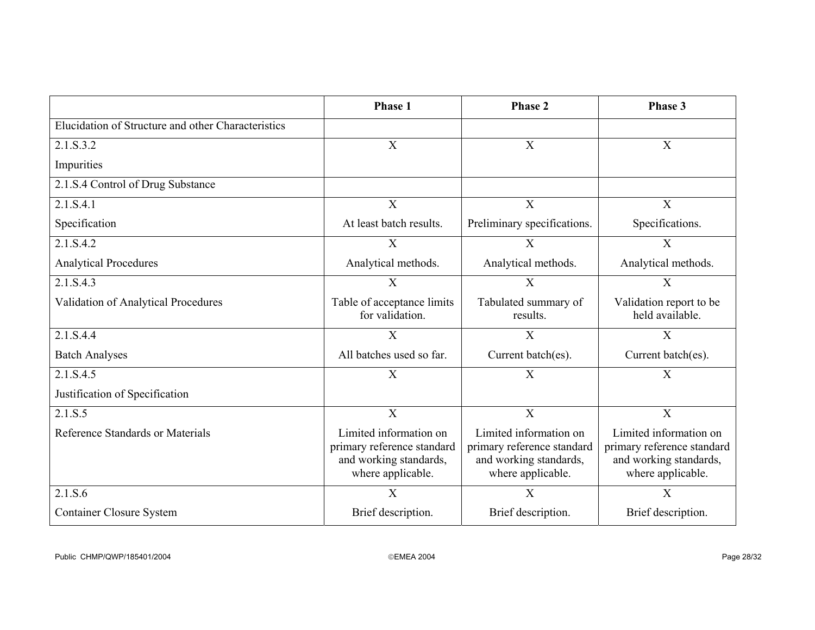|                                                    | Phase 1                                                                                             | <b>Phase 2</b>                                                                                      | Phase 3                                                                                             |
|----------------------------------------------------|-----------------------------------------------------------------------------------------------------|-----------------------------------------------------------------------------------------------------|-----------------------------------------------------------------------------------------------------|
| Elucidation of Structure and other Characteristics |                                                                                                     |                                                                                                     |                                                                                                     |
| 2.1.S.3.2                                          | $\boldsymbol{X}$                                                                                    | $\boldsymbol{\mathrm{X}}$                                                                           | $\mathbf X$                                                                                         |
| Impurities                                         |                                                                                                     |                                                                                                     |                                                                                                     |
| 2.1.S.4 Control of Drug Substance                  |                                                                                                     |                                                                                                     |                                                                                                     |
| 2.1.S.4.1                                          | X                                                                                                   | $\mathbf X$                                                                                         | $\mathbf X$                                                                                         |
| Specification                                      | At least batch results.                                                                             | Preliminary specifications.                                                                         | Specifications.                                                                                     |
| 2.1.S.4.2                                          | $\boldsymbol{X}$                                                                                    | $\boldsymbol{\mathrm{X}}$                                                                           | $\boldsymbol{\mathrm{X}}$                                                                           |
| <b>Analytical Procedures</b>                       | Analytical methods.                                                                                 | Analytical methods.                                                                                 | Analytical methods.                                                                                 |
| 2.1.S.4.3                                          | $\overline{X}$                                                                                      | X                                                                                                   | X                                                                                                   |
| Validation of Analytical Procedures                | Table of acceptance limits<br>for validation.                                                       | Tabulated summary of<br>results.                                                                    | Validation report to be<br>held available.                                                          |
| 2.1.S.4.4                                          | $\boldsymbol{\mathrm{X}}$                                                                           | X                                                                                                   | $\boldsymbol{\mathrm{X}}$                                                                           |
| <b>Batch Analyses</b>                              | All batches used so far.                                                                            | Current batch(es).                                                                                  | Current batch(es).                                                                                  |
| 2.1.S.4.5                                          | X                                                                                                   | X                                                                                                   | $\overline{X}$                                                                                      |
| Justification of Specification                     |                                                                                                     |                                                                                                     |                                                                                                     |
| 2.1.S.5                                            | $\mathbf X$                                                                                         | X                                                                                                   | X                                                                                                   |
| Reference Standards or Materials                   | Limited information on<br>primary reference standard<br>and working standards,<br>where applicable. | Limited information on<br>primary reference standard<br>and working standards,<br>where applicable. | Limited information on<br>primary reference standard<br>and working standards,<br>where applicable. |
| 2.1.S.6                                            | $\mathbf X$                                                                                         | $\boldsymbol{\mathrm{X}}$                                                                           | X                                                                                                   |
| <b>Container Closure System</b>                    | Brief description.                                                                                  | Brief description.                                                                                  | Brief description.                                                                                  |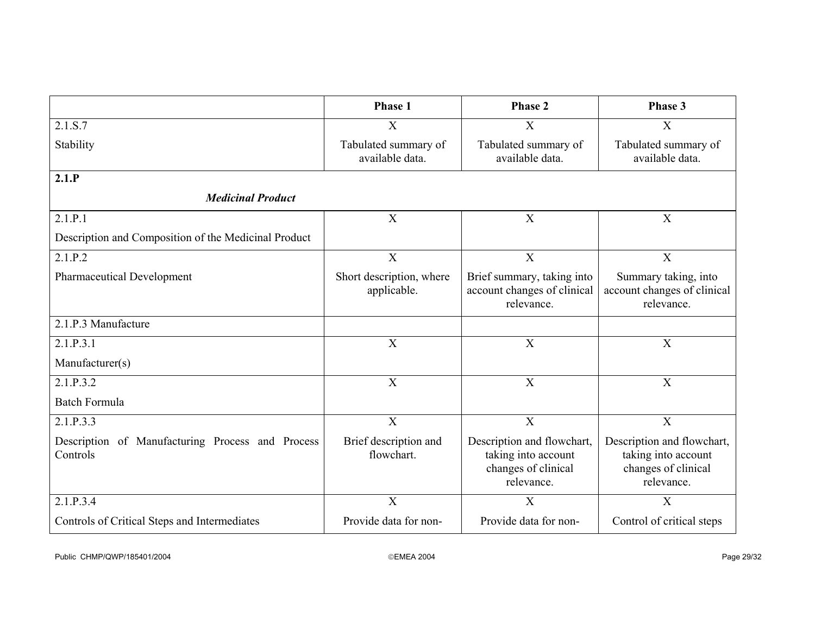|                                                              | Phase 1                                 | Phase 2                                                                                | Phase 3                                                                                |
|--------------------------------------------------------------|-----------------------------------------|----------------------------------------------------------------------------------------|----------------------------------------------------------------------------------------|
| 2.1.S.7                                                      | X                                       | X                                                                                      | X                                                                                      |
| Stability                                                    | Tabulated summary of<br>available data. | Tabulated summary of<br>available data.                                                | Tabulated summary of<br>available data.                                                |
| 2.1.P                                                        |                                         |                                                                                        |                                                                                        |
| <b>Medicinal Product</b>                                     |                                         |                                                                                        |                                                                                        |
| 2.1.P.1                                                      | X                                       | X                                                                                      | $\mathbf X$                                                                            |
| Description and Composition of the Medicinal Product         |                                         |                                                                                        |                                                                                        |
| 2.1.P.2                                                      | $\mathbf X$                             | $\mathbf X$                                                                            | $\mathbf X$                                                                            |
| <b>Pharmaceutical Development</b>                            | Short description, where<br>applicable. | Brief summary, taking into<br>account changes of clinical<br>relevance.                | Summary taking, into<br>account changes of clinical<br>relevance.                      |
| 2.1.P.3 Manufacture                                          |                                         |                                                                                        |                                                                                        |
| 2.1.P.3.1                                                    | X                                       | $\mathbf X$                                                                            | $\mathbf X$                                                                            |
| Manufacturer(s)                                              |                                         |                                                                                        |                                                                                        |
| 2.1.P.3.2                                                    | $\mathbf X$                             | $\mathbf X$                                                                            | $\mathbf X$                                                                            |
| <b>Batch Formula</b>                                         |                                         |                                                                                        |                                                                                        |
| 2.1.P.3.3                                                    | $\overline{X}$                          | $\overline{X}$                                                                         | $\overline{X}$                                                                         |
| Description of Manufacturing Process and Process<br>Controls | Brief description and<br>flowchart.     | Description and flowchart,<br>taking into account<br>changes of clinical<br>relevance. | Description and flowchart,<br>taking into account<br>changes of clinical<br>relevance. |
| 2.1.P.3.4                                                    | $\overline{\mathrm{X}}$                 | X                                                                                      | $\mathbf X$                                                                            |
| Controls of Critical Steps and Intermediates                 | Provide data for non-                   | Provide data for non-                                                                  | Control of critical steps                                                              |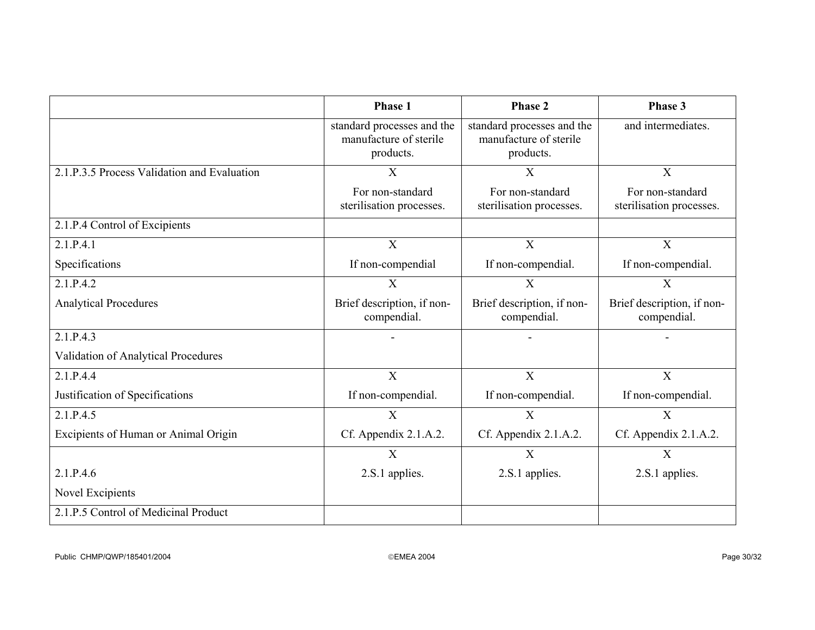|                                             | Phase 1                                                           | <b>Phase 2</b>                                                    | Phase 3                                      |
|---------------------------------------------|-------------------------------------------------------------------|-------------------------------------------------------------------|----------------------------------------------|
|                                             | standard processes and the<br>manufacture of sterile<br>products. | standard processes and the<br>manufacture of sterile<br>products. | and intermediates.                           |
| 2.1.P.3.5 Process Validation and Evaluation | X                                                                 | X                                                                 | $\mathbf{X}$                                 |
|                                             | For non-standard<br>sterilisation processes.                      | For non-standard<br>sterilisation processes.                      | For non-standard<br>sterilisation processes. |
| 2.1.P.4 Control of Excipients               |                                                                   |                                                                   |                                              |
| 2.1.P.4.1                                   | $\mathbf X$                                                       | X                                                                 | $\mathbf X$                                  |
| Specifications                              | If non-compendial                                                 | If non-compendial.                                                | If non-compendial.                           |
| 2.1.P.4.2                                   | $\overline{X}$                                                    | $\overline{X}$                                                    | $\overline{X}$                               |
| <b>Analytical Procedures</b>                | Brief description, if non-<br>compendial.                         | Brief description, if non-<br>compendial.                         | Brief description, if non-<br>compendial.    |
| 2.1.P.4.3                                   |                                                                   |                                                                   |                                              |
| Validation of Analytical Procedures         |                                                                   |                                                                   |                                              |
| 2.1.P.4.4                                   | $\overline{X}$                                                    | $\overline{X}$                                                    | $\mathbf{X}$                                 |
| Justification of Specifications             | If non-compendial.                                                | If non-compendial.                                                | If non-compendial.                           |
| 2.1.P.4.5                                   | $\overline{X}$                                                    | X                                                                 | $\overline{X}$                               |
| Excipients of Human or Animal Origin        | Cf. Appendix 2.1.A.2.                                             | Cf. Appendix 2.1.A.2.                                             | Cf. Appendix 2.1.A.2.                        |
|                                             | $\overline{X}$                                                    | $\overline{X}$                                                    | $\overline{X}$                               |
| 2.1.P.4.6                                   | 2.S.1 applies.                                                    | 2.S.1 applies.                                                    | 2.S.1 applies.                               |
| Novel Excipients                            |                                                                   |                                                                   |                                              |
| 2.1.P.5 Control of Medicinal Product        |                                                                   |                                                                   |                                              |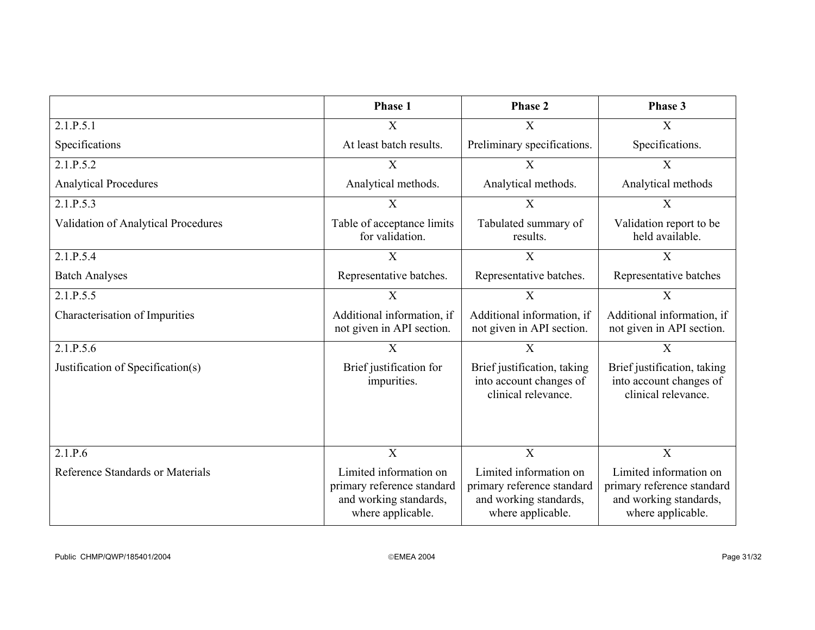|                                     | <b>Phase 1</b>                                                                                      | Phase 2                                                                                             | Phase 3                                                                                             |
|-------------------------------------|-----------------------------------------------------------------------------------------------------|-----------------------------------------------------------------------------------------------------|-----------------------------------------------------------------------------------------------------|
| 2.1.P.5.1                           | X                                                                                                   | X                                                                                                   | X                                                                                                   |
| Specifications                      | At least batch results.                                                                             | Preliminary specifications.                                                                         | Specifications.                                                                                     |
| 2.1.P.5.2                           | $\mathbf X$                                                                                         | X                                                                                                   | X                                                                                                   |
| <b>Analytical Procedures</b>        | Analytical methods.                                                                                 | Analytical methods.                                                                                 | Analytical methods                                                                                  |
| 2.1.P.5.3                           | X                                                                                                   | $\mathbf{X}$                                                                                        | X                                                                                                   |
| Validation of Analytical Procedures | Table of acceptance limits<br>for validation.                                                       | Tabulated summary of<br>results.                                                                    | Validation report to be<br>held available.                                                          |
| 2.1.P.5.4                           | X                                                                                                   | X                                                                                                   | X                                                                                                   |
| <b>Batch Analyses</b>               | Representative batches.                                                                             | Representative batches.                                                                             | Representative batches                                                                              |
| 2.1.P.5.5                           | X                                                                                                   | X                                                                                                   | X                                                                                                   |
| Characterisation of Impurities      | Additional information, if<br>not given in API section.                                             | Additional information, if<br>not given in API section.                                             | Additional information, if<br>not given in API section.                                             |
| 2.1.P.5.6                           | X                                                                                                   | $\mathbf X$                                                                                         | $\mathbf X$                                                                                         |
| Justification of Specification(s)   | Brief justification for<br>impurities.                                                              | Brief justification, taking<br>into account changes of<br>clinical relevance.                       | Brief justification, taking<br>into account changes of<br>clinical relevance.                       |
| 2.1.P.6                             | X                                                                                                   | X                                                                                                   | $\overline{X}$                                                                                      |
| Reference Standards or Materials    | Limited information on<br>primary reference standard<br>and working standards,<br>where applicable. | Limited information on<br>primary reference standard<br>and working standards,<br>where applicable. | Limited information on<br>primary reference standard<br>and working standards,<br>where applicable. |